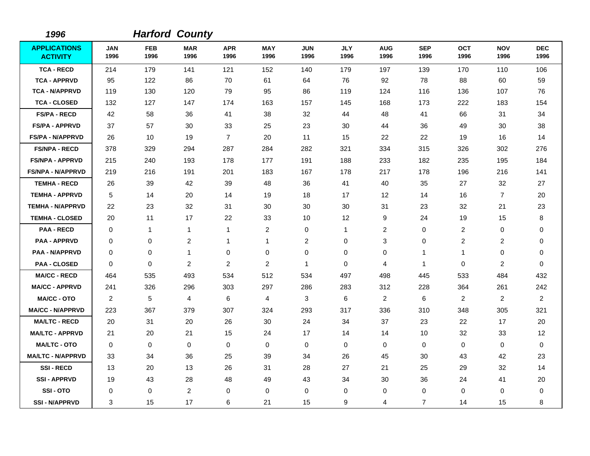| 1996                                   |                    |                    | <b>Harford County</b> |                    |                    |                    |                    |                    |                    |                    |                    |                    |
|----------------------------------------|--------------------|--------------------|-----------------------|--------------------|--------------------|--------------------|--------------------|--------------------|--------------------|--------------------|--------------------|--------------------|
| <b>APPLICATIONS</b><br><b>ACTIVITY</b> | <b>JAN</b><br>1996 | <b>FEB</b><br>1996 | <b>MAR</b><br>1996    | <b>APR</b><br>1996 | <b>MAY</b><br>1996 | <b>JUN</b><br>1996 | <b>JLY</b><br>1996 | <b>AUG</b><br>1996 | <b>SEP</b><br>1996 | <b>OCT</b><br>1996 | <b>NOV</b><br>1996 | <b>DEC</b><br>1996 |
| <b>TCA - RECD</b>                      | 214                | 179                | 141                   | 121                | 152                | 140                | 179                | 197                | 139                | 170                | 110                | 106                |
| <b>TCA - APPRVD</b>                    | 95                 | 122                | 86                    | 70                 | 61                 | 64                 | 76                 | 92                 | 78                 | 88                 | 60                 | 59                 |
| <b>TCA - N/APPRVD</b>                  | 119                | 130                | 120                   | 79                 | 95                 | 86                 | 119                | 124                | 116                | 136                | 107                | 76                 |
| <b>TCA - CLOSED</b>                    | 132                | 127                | 147                   | 174                | 163                | 157                | 145                | 168                | 173                | 222                | 183                | 154                |
| <b>FS/PA - RECD</b>                    | 42                 | 58                 | 36                    | 41                 | 38                 | 32                 | 44                 | 48                 | 41                 | 66                 | 31                 | 34                 |
| <b>FS/PA - APPRVD</b>                  | 37                 | 57                 | 30                    | 33                 | 25                 | 23                 | 30                 | 44                 | 36                 | 49                 | 30                 | 38                 |
| <b>FS/PA - N/APPRVD</b>                | 26                 | 10                 | 19                    | $\overline{7}$     | 20                 | 11                 | 15                 | 22                 | 22                 | 19                 | 16                 | 14                 |
| <b>FS/NPA - RECD</b>                   | 378                | 329                | 294                   | 287                | 284                | 282                | 321                | 334                | 315                | 326                | 302                | 276                |
| <b>FS/NPA - APPRVD</b>                 | 215                | 240                | 193                   | 178                | 177                | 191                | 188                | 233                | 182                | 235                | 195                | 184                |
| <b>FS/NPA - N/APPRVD</b>               | 219                | 216                | 191                   | 201                | 183                | 167                | 178                | 217                | 178                | 196                | 216                | 141                |
| <b>TEMHA - RECD</b>                    | 26                 | 39                 | 42                    | 39                 | 48                 | 36                 | 41                 | 40                 | 35                 | 27                 | 32                 | 27                 |
| <b>TEMHA - APPRVD</b>                  | 5                  | 14                 | 20                    | 14                 | 19                 | 18                 | 17                 | 12                 | 14                 | 16                 | $\overline{7}$     | 20                 |
| <b>TEMHA - N/APPRVD</b>                | 22                 | 23                 | 32                    | 31                 | 30                 | 30                 | 30                 | 31                 | 23                 | 32                 | 21                 | 23                 |
| <b>TEMHA - CLOSED</b>                  | 20                 | 11                 | 17                    | 22                 | 33                 | 10                 | 12                 | 9                  | 24                 | 19                 | 15                 | 8                  |
| <b>PAA - RECD</b>                      | $\Omega$           | $\mathbf{1}$       | $\mathbf{1}$          | $\mathbf{1}$       | $\overline{2}$     | 0                  | $\mathbf{1}$       | 2                  | 0                  | $\overline{c}$     | 0                  | 0                  |
| <b>PAA - APPRVD</b>                    | 0                  | 0                  | $\overline{c}$        | $\mathbf 1$        | $\mathbf{1}$       | $\overline{c}$     | $\mathbf 0$        | 3                  | 0                  | $\overline{c}$     | 2                  | 0                  |
| <b>PAA - N/APPRVD</b>                  | 0                  | 0                  | $\mathbf{1}$          | 0                  | 0                  | $\mathbf 0$        | $\mathbf 0$        | 0                  | $\mathbf 1$        | 1                  | 0                  | 0                  |
| <b>PAA - CLOSED</b>                    | $\mathbf 0$        | 0                  | 2                     | 2                  | 2                  | 1                  | $\mathbf 0$        | 4                  | $\mathbf{1}$       | 0                  | 2                  | 0                  |
| <b>MA/CC - RECD</b>                    | 464                | 535                | 493                   | 534                | 512                | 534                | 497                | 498                | 445                | 533                | 484                | 432                |
| <b>MA/CC - APPRVD</b>                  | 241                | 326                | 296                   | 303                | 297                | 286                | 283                | 312                | 228                | 364                | 261                | 242                |
| <b>MA/CC - OTO</b>                     | 2                  | 5                  | $\overline{4}$        | 6                  | 4                  | 3                  | 6                  | $\overline{2}$     | 6                  | $\overline{2}$     | 2                  | $\overline{2}$     |
| <b>MA/CC - N/APPRVD</b>                | 223                | 367                | 379                   | 307                | 324                | 293                | 317                | 336                | 310                | 348                | 305                | 321                |
| <b>MA/LTC - RECD</b>                   | 20                 | 31                 | 20                    | 26                 | 30                 | 24                 | 34                 | 37                 | 23                 | 22                 | 17                 | 20                 |
| <b>MA/LTC - APPRVD</b>                 | 21                 | 20                 | 21                    | 15                 | 24                 | 17                 | 14                 | 14                 | 10                 | 32                 | 33                 | 12                 |
| <b>MA/LTC - OTO</b>                    | $\mathbf 0$        | 0                  | $\mathbf 0$           | $\mathbf 0$        | $\pmb{0}$          | $\mathbf 0$        | $\mathbf 0$        | 0                  | $\mathbf 0$        | 0                  | $\pmb{0}$          | $\mathbf 0$        |
| <b>MA/LTC - N/APPRVD</b>               | 33                 | 34                 | 36                    | 25                 | 39                 | 34                 | 26                 | 45                 | 30                 | 43                 | 42                 | 23                 |
| <b>SSI-RECD</b>                        | 13                 | 20                 | 13                    | 26                 | 31                 | 28                 | 27                 | 21                 | 25                 | 29                 | 32                 | 14                 |
| <b>SSI-APPRVD</b>                      | 19                 | 43                 | 28                    | 48                 | 49                 | 43                 | 34                 | 30                 | 36                 | 24                 | 41                 | 20                 |
| SSI-OTO                                | 0                  | 0                  | $\boldsymbol{2}$      | 0                  | $\pmb{0}$          | $\mathbf 0$        | $\mathbf 0$        | 0                  | $\mathbf 0$        | 0                  | $\pmb{0}$          | 0                  |
| <b>SSI - N/APPRVD</b>                  | 3                  | 15                 | 17                    | 6                  | 21                 | 15                 | 9                  | 4                  | 7                  | 14                 | 15                 | 8                  |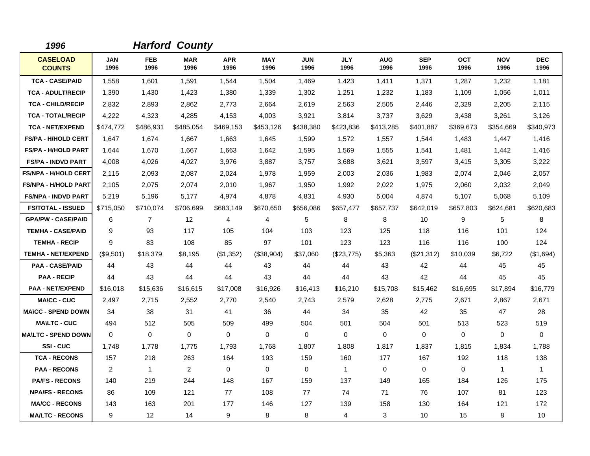| 1996                             |                    |                    | <b>Harford County</b> |                    |                    |                    |                    |                    |                    |                    |                    |                    |
|----------------------------------|--------------------|--------------------|-----------------------|--------------------|--------------------|--------------------|--------------------|--------------------|--------------------|--------------------|--------------------|--------------------|
| <b>CASELOAD</b><br><b>COUNTS</b> | <b>JAN</b><br>1996 | <b>FEB</b><br>1996 | <b>MAR</b><br>1996    | <b>APR</b><br>1996 | <b>MAY</b><br>1996 | <b>JUN</b><br>1996 | <b>JLY</b><br>1996 | <b>AUG</b><br>1996 | <b>SEP</b><br>1996 | <b>OCT</b><br>1996 | <b>NOV</b><br>1996 | <b>DEC</b><br>1996 |
| <b>TCA - CASE/PAID</b>           | 1,558              | 1,601              | 1,591                 | 1,544              | 1,504              | 1,469              | 1,423              | 1,411              | 1,371              | 1,287              | 1,232              | 1,181              |
| <b>TCA - ADULT/RECIP</b>         | 1,390              | 1,430              | 1,423                 | 1,380              | 1,339              | 1,302              | 1,251              | 1,232              | 1,183              | 1,109              | 1,056              | 1,011              |
| <b>TCA - CHILD/RECIP</b>         | 2,832              | 2,893              | 2,862                 | 2,773              | 2,664              | 2,619              | 2,563              | 2,505              | 2,446              | 2,329              | 2,205              | 2,115              |
| <b>TCA - TOTAL/RECIP</b>         | 4,222              | 4,323              | 4,285                 | 4,153              | 4,003              | 3,921              | 3,814              | 3,737              | 3,629              | 3,438              | 3,261              | 3,126              |
| <b>TCA - NET/EXPEND</b>          | \$474,772          | \$486,931          | \$485,054             | \$469,153          | \$453,126          | \$438,380          | \$423,836          | \$413,285          | \$401.887          | \$369,673          | \$354,669          | \$340,973          |
| <b>FS/PA - H/HOLD CERT</b>       | 1,647              | 1.674              | 1,667                 | 1,663              | 1,645              | 1,599              | 1,572              | 1,557              | 1,544              | 1,483              | 1,447              | 1,416              |
| <b>FS/PA - H/HOLD PART</b>       | 1,644              | 1.670              | 1.667                 | 1.663              | 1.642              | 1,595              | 1,569              | 1,555              | 1,541              | 1,481              | 1,442              | 1,416              |
| <b>FS/PA - INDVD PART</b>        | 4,008              | 4,026              | 4,027                 | 3,976              | 3,887              | 3,757              | 3,688              | 3,621              | 3,597              | 3,415              | 3,305              | 3,222              |
| <b>FS/NPA - H/HOLD CERT</b>      | 2,115              | 2,093              | 2,087                 | 2,024              | 1,978              | 1,959              | 2,003              | 2,036              | 1,983              | 2,074              | 2,046              | 2,057              |
| <b>FS/NPA - H/HOLD PART</b>      | 2,105              | 2,075              | 2,074                 | 2,010              | 1,967              | 1,950              | 1,992              | 2,022              | 1,975              | 2,060              | 2,032              | 2,049              |
| <b>FS/NPA - INDVD PART</b>       | 5,219              | 5.196              | 5,177                 | 4,974              | 4.878              | 4,831              | 4,930              | 5,004              | 4,874              | 5,107              | 5,068              | 5,109              |
| <b>FS/TOTAL - ISSUED</b>         | \$715,050          | \$710,074          | \$706,699             | \$683,149          | \$670,650          | \$656,086          | \$657,477          | \$657,737          | \$642,019          | \$657,803          | \$624,681          | \$620,683          |
| <b>GPA/PW - CASE/PAID</b>        | 6                  | $\overline{7}$     | 12                    | 4                  | 4                  | 5                  | 8                  | 8                  | 10                 | 9                  | 5                  | 8                  |
| <b>TEMHA - CASE/PAID</b>         | 9                  | 93                 | 117                   | 105                | 104                | 103                | 123                | 125                | 118                | 116                | 101                | 124                |
| <b>TEMHA - RECIP</b>             | 9                  | 83                 | 108                   | 85                 | 97                 | 101                | 123                | 123                | 116                | 116                | 100                | 124                |
| <b>TEMHA - NET/EXPEND</b>        | (\$9,501)          | \$18,379           | \$8,195               | (\$1,352)          | (\$38,904)         | \$37,060           | (\$23,775)         | \$5,363            | (\$21,312)         | \$10,039           | \$6,722            | (\$1,694)          |
| <b>PAA - CASE/PAID</b>           | 44                 | 43                 | 44                    | 44                 | 43                 | 44                 | 44                 | 43                 | 42                 | 44                 | 45                 | 45                 |
| <b>PAA - RECIP</b>               | 44                 | 43                 | 44                    | 44                 | 43                 | 44                 | 44                 | 43                 | 42                 | 44                 | 45                 | 45                 |
| <b>PAA - NET/EXPEND</b>          | \$16,018           | \$15,636           | \$16,615              | \$17,008           | \$16,926           | \$16,413           | \$16,210           | \$15,708           | \$15,462           | \$16,695           | \$17,894           | \$16,779           |
| <b>MA\CC - CUC</b>               | 2,497              | 2,715              | 2,552                 | 2.770              | 2,540              | 2,743              | 2,579              | 2,628              | 2,775              | 2,671              | 2,867              | 2,671              |
| <b>MA\CC - SPEND DOWN</b>        | 34                 | 38                 | 31                    | 41                 | 36                 | 44                 | 34                 | 35                 | 42                 | 35                 | 47                 | 28                 |
| <b>MA\LTC - CUC</b>              | 494                | 512                | 505                   | 509                | 499                | 504                | 501                | 504                | 501                | 513                | 523                | 519                |
| <b>MA\LTC - SPEND DOWN</b>       | $\mathbf 0$        | $\Omega$           | $\mathbf 0$           | $\mathbf 0$        | $\mathbf 0$        | 0                  | $\Omega$           | 0                  | $\Omega$           | 0                  | 0                  | $\Omega$           |
| <b>SSI-CUC</b>                   | 1.748              | 1,778              | 1,775                 | 1.793              | 1,768              | 1.807              | 1,808              | 1,817              | 1,837              | 1,815              | 1,834              | 1,788              |
| <b>TCA - RECONS</b>              | 157                | 218                | 263                   | 164                | 193                | 159                | 160                | 177                | 167                | 192                | 118                | 138                |
| <b>PAA - RECONS</b>              | $\overline{c}$     | 1                  | $\overline{2}$        | $\mathbf 0$        | $\mathbf 0$        | $\mathbf 0$        | $\mathbf{1}$       | $\mathbf 0$        | $\mathbf 0$        | $\mathbf 0$        | $\mathbf{1}$       | 1                  |
| <b>PA/FS - RECONS</b>            | 140                | 219                | 244                   | 148                | 167                | 159                | 137                | 149                | 165                | 184                | 126                | 175                |
| <b>NPA/FS - RECONS</b>           | 86                 | 109                | 121                   | 77                 | 108                | 77                 | 74                 | 71                 | 76                 | 107                | 81                 | 123                |
| <b>MA/CC - RECONS</b>            | 143                | 163                | 201                   | 177                | 146                | 127                | 139                | 158                | 130                | 164                | 121                | 172                |
| <b>MA/LTC - RECONS</b>           | 9                  | 12                 | 14                    | 9                  | 8                  | 8                  | 4                  | 3                  | 10                 | 15                 | 8                  | 10                 |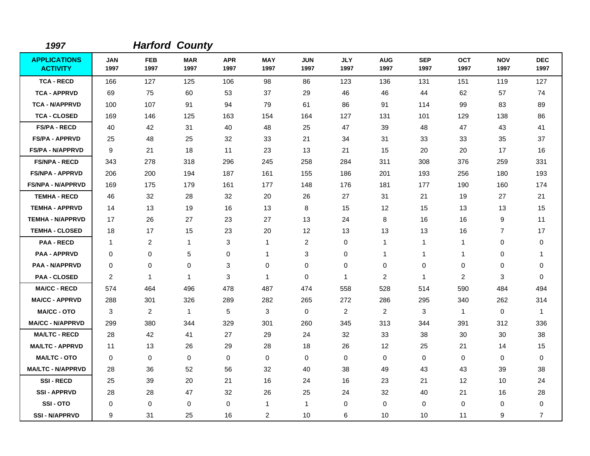| 1997                                   |                         |                    | <b>Harford County</b> |                    |                    |                    |                    |                    |                    |                    |                    |                    |
|----------------------------------------|-------------------------|--------------------|-----------------------|--------------------|--------------------|--------------------|--------------------|--------------------|--------------------|--------------------|--------------------|--------------------|
| <b>APPLICATIONS</b><br><b>ACTIVITY</b> | <b>JAN</b><br>1997      | <b>FEB</b><br>1997 | <b>MAR</b><br>1997    | <b>APR</b><br>1997 | <b>MAY</b><br>1997 | <b>JUN</b><br>1997 | <b>JLY</b><br>1997 | <b>AUG</b><br>1997 | <b>SEP</b><br>1997 | <b>OCT</b><br>1997 | <b>NOV</b><br>1997 | <b>DEC</b><br>1997 |
| <b>TCA - RECD</b>                      | 166                     | 127                | 125                   | 106                | 98                 | 86                 | 123                | 136                | 131                | 151                | 119                | 127                |
| <b>TCA - APPRVD</b>                    | 69                      | 75                 | 60                    | 53                 | 37                 | 29                 | 46                 | 46                 | 44                 | 62                 | 57                 | 74                 |
| <b>TCA - N/APPRVD</b>                  | 100                     | 107                | 91                    | 94                 | 79                 | 61                 | 86                 | 91                 | 114                | 99                 | 83                 | 89                 |
| <b>TCA - CLOSED</b>                    | 169                     | 146                | 125                   | 163                | 154                | 164                | 127                | 131                | 101                | 129                | 138                | 86                 |
| <b>FS/PA - RECD</b>                    | 40                      | 42                 | 31                    | 40                 | 48                 | 25                 | 47                 | 39                 | 48                 | 47                 | 43                 | 41                 |
| <b>FS/PA - APPRVD</b>                  | 25                      | 48                 | 25                    | 32                 | 33                 | 21                 | 34                 | 31                 | 33                 | 33                 | 35                 | 37                 |
| <b>FS/PA - N/APPRVD</b>                | 9                       | 21                 | 18                    | 11                 | 23                 | 13                 | 21                 | 15                 | 20                 | 20                 | 17                 | 16                 |
| <b>FS/NPA - RECD</b>                   | 343                     | 278                | 318                   | 296                | 245                | 258                | 284                | 311                | 308                | 376                | 259                | 331                |
| <b>FS/NPA - APPRVD</b>                 | 206                     | 200                | 194                   | 187                | 161                | 155                | 186                | 201                | 193                | 256                | 180                | 193                |
| <b>FS/NPA - N/APPRVD</b>               | 169                     | 175                | 179                   | 161                | 177                | 148                | 176                | 181                | 177                | 190                | 160                | 174                |
| <b>TEMHA - RECD</b>                    | 46                      | 32                 | 28                    | 32                 | 20                 | 26                 | 27                 | 31                 | 21                 | 19                 | 27                 | 21                 |
| <b>TEMHA - APPRVD</b>                  | 14                      | 13                 | 19                    | 16                 | 13                 | 8                  | 15                 | 12                 | 15                 | 13                 | 13                 | 15                 |
| <b>TEMHA - N/APPRVD</b>                | 17                      | 26                 | 27                    | 23                 | 27                 | 13                 | 24                 | 8                  | 16                 | 16                 | 9                  | 11                 |
| <b>TEMHA - CLOSED</b>                  | 18                      | 17                 | 15                    | 23                 | 20                 | 12                 | 13                 | 13                 | 13                 | 16                 | $\overline{7}$     | 17                 |
| <b>PAA - RECD</b>                      | $\mathbf{1}$            | $\overline{2}$     | $\mathbf{1}$          | 3                  | $\overline{1}$     | $\overline{2}$     | 0                  | $\mathbf{1}$       | $\mathbf{1}$       | $\mathbf{1}$       | 0                  | 0                  |
| <b>PAA - APPRVD</b>                    | 0                       | 0                  | 5                     | 0                  | $\mathbf{1}$       | 3                  | 0                  | $\mathbf{1}$       | $\mathbf 1$        | 1                  | 0                  | 1                  |
| PAA - N/APPRVD                         | 0                       | 0                  | 0                     | 3                  | 0                  | $\mathbf 0$        | 0                  | 0                  | 0                  | 0                  | 0                  | 0                  |
| <b>PAA - CLOSED</b>                    | $\overline{\mathbf{c}}$ | $\mathbf{1}$       | $\mathbf{1}$          | 3                  | $\mathbf{1}$       | $\mathbf 0$        | $\mathbf{1}$       | $\overline{c}$     | $\mathbf{1}$       | $\overline{c}$     | 3                  | 0                  |
| <b>MA/CC - RECD</b>                    | 574                     | 464                | 496                   | 478                | 487                | 474                | 558                | 528                | 514                | 590                | 484                | 494                |
| <b>MA/CC - APPRVD</b>                  | 288                     | 301                | 326                   | 289                | 282                | 265                | 272                | 286                | 295                | 340                | 262                | 314                |
| <b>MA/CC - OTO</b>                     | 3                       | $\overline{2}$     | $\mathbf{1}$          | 5                  | 3                  | $\mathbf 0$        | 2                  | $\overline{2}$     | 3                  | $\mathbf{1}$       | $\mathbf 0$        | $\mathbf 1$        |
| <b>MA/CC - N/APPRVD</b>                | 299                     | 380                | 344                   | 329                | 301                | 260                | 345                | 313                | 344                | 391                | 312                | 336                |
| <b>MA/LTC - RECD</b>                   | 28                      | 42                 | 41                    | 27                 | 29                 | 24                 | 32                 | 33                 | 38                 | 30                 | 30                 | 38                 |
| <b>MA/LTC - APPRVD</b>                 | 11                      | 13                 | 26                    | 29                 | 28                 | 18                 | 26                 | 12                 | 25                 | 21                 | 14                 | 15                 |
| <b>MA/LTC - OTO</b>                    | 0                       | 0                  | 0                     | $\mathbf 0$        | 0                  | $\mathbf 0$        | $\mathbf 0$        | 0                  | $\mathbf 0$        | 0                  | 0                  | 0                  |
| <b>MA/LTC - N/APPRVD</b>               | 28                      | 36                 | 52                    | 56                 | 32                 | 40                 | 38                 | 49                 | 43                 | 43                 | 39                 | 38                 |
| <b>SSI-RECD</b>                        | 25                      | 39                 | 20                    | 21                 | 16                 | 24                 | 16                 | 23                 | 21                 | 12                 | 10                 | 24                 |
| <b>SSI-APPRVD</b>                      | 28                      | 28                 | 47                    | 32                 | 26                 | 25                 | 24                 | 32                 | 40                 | 21                 | 16                 | 28                 |
| SSI-OTO                                | 0                       | 0                  | 0                     | 0                  | $\mathbf{1}$       | $\mathbf{1}$       | 0                  | 0                  | $\mathbf 0$        | 0                  | 0                  | 0                  |
| <b>SSI-N/APPRVD</b>                    | 9                       | 31                 | 25                    | 16                 | 2                  | 10                 | 6                  | 10                 | 10                 | 11                 | 9                  | $\overline{7}$     |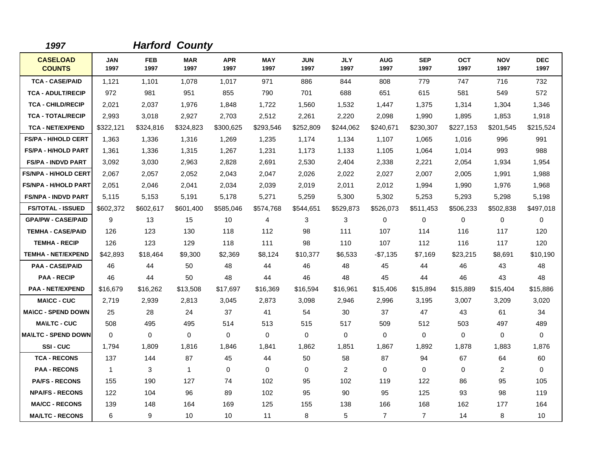| 1997                             |                    |                    | <b>Harford County</b> |                    |                    |                    |                    |                    |                    |                    |                    |                    |
|----------------------------------|--------------------|--------------------|-----------------------|--------------------|--------------------|--------------------|--------------------|--------------------|--------------------|--------------------|--------------------|--------------------|
| <b>CASELOAD</b><br><b>COUNTS</b> | <b>JAN</b><br>1997 | <b>FEB</b><br>1997 | <b>MAR</b><br>1997    | <b>APR</b><br>1997 | <b>MAY</b><br>1997 | <b>JUN</b><br>1997 | <b>JLY</b><br>1997 | <b>AUG</b><br>1997 | <b>SEP</b><br>1997 | <b>OCT</b><br>1997 | <b>NOV</b><br>1997 | <b>DEC</b><br>1997 |
| <b>TCA - CASE/PAID</b>           | 1,121              | 1,101              | 1,078                 | 1,017              | 971                | 886                | 844                | 808                | 779                | 747                | 716                | 732                |
| <b>TCA - ADULT/RECIP</b>         | 972                | 981                | 951                   | 855                | 790                | 701                | 688                | 651                | 615                | 581                | 549                | 572                |
| <b>TCA - CHILD/RECIP</b>         | 2,021              | 2.037              | 1,976                 | 1,848              | 1,722              | 1.560              | 1,532              | 1,447              | 1,375              | 1,314              | 1,304              | 1,346              |
| <b>TCA - TOTAL/RECIP</b>         | 2,993              | 3,018              | 2,927                 | 2,703              | 2,512              | 2,261              | 2,220              | 2,098              | 1,990              | 1,895              | 1,853              | 1,918              |
| <b>TCA - NET/EXPEND</b>          | \$322,121          | \$324,816          | \$324,823             | \$300,625          | \$293,546          | \$252,809          | \$244,062          | \$240,671          | \$230,307          | \$227,153          | \$201,545          | \$215,524          |
| FS/PA - H/HOLD CERT              | 1,363              | 1,336              | 1,316                 | 1,269              | 1,235              | 1,174              | 1,134              | 1,107              | 1,065              | 1,016              | 996                | 991                |
| <b>FS/PA - H/HOLD PART</b>       | 1,361              | 1,336              | 1,315                 | 1,267              | 1,231              | 1,173              | 1,133              | 1,105              | 1,064              | 1,014              | 993                | 988                |
| <b>FS/PA - INDVD PART</b>        | 3,092              | 3,030              | 2,963                 | 2,828              | 2,691              | 2,530              | 2,404              | 2,338              | 2,221              | 2,054              | 1,934              | 1,954              |
| <b>FS/NPA - H/HOLD CERT</b>      | 2,067              | 2,057              | 2,052                 | 2,043              | 2,047              | 2,026              | 2,022              | 2,027              | 2,007              | 2,005              | 1,991              | 1,988              |
| <b>FS/NPA - H/HOLD PART</b>      | 2,051              | 2,046              | 2,041                 | 2,034              | 2,039              | 2,019              | 2,011              | 2,012              | 1,994              | 1,990              | 1,976              | 1,968              |
| <b>FS/NPA - INDVD PART</b>       | 5,115              | 5,153              | 5,191                 | 5,178              | 5,271              | 5,259              | 5,300              | 5,302              | 5,253              | 5,293              | 5,298              | 5,198              |
| <b>FS/TOTAL - ISSUED</b>         | \$602,372          | \$602,617          | \$601,400             | \$585,046          | \$574,768          | \$544,651          | \$529,873          | \$526,073          | \$511,453          | \$506,233          | \$502,838          | \$497,018          |
| <b>GPA/PW - CASE/PAID</b>        | 9                  | 13                 | 15                    | 10                 | 4                  | 3                  | 3                  | 0                  | $\Omega$           | 0                  | $\mathbf 0$        | $\Omega$           |
| <b>TEMHA - CASE/PAID</b>         | 126                | 123                | 130                   | 118                | 112                | 98                 | 111                | 107                | 114                | 116                | 117                | 120                |
| <b>TEMHA - RECIP</b>             | 126                | 123                | 129                   | 118                | 111                | 98                 | 110                | 107                | 112                | 116                | 117                | 120                |
| <b>TEMHA - NET/EXPEND</b>        | \$42,893           | \$18,464           | \$9,300               | \$2,369            | \$8,124            | \$10,377           | \$6,533            | $-$7,135$          | \$7,169            | \$23,215           | \$8,691            | \$10,190           |
| <b>PAA - CASE/PAID</b>           | 46                 | 44                 | 50                    | 48                 | 44                 | 46                 | 48                 | 45                 | 44                 | 46                 | 43                 | 48                 |
| <b>PAA - RECIP</b>               | 46                 | 44                 | 50                    | 48                 | 44                 | 46                 | 48                 | 45                 | 44                 | 46                 | 43                 | 48                 |
| <b>PAA - NET/EXPEND</b>          | \$16,679           | \$16,262           | \$13,508              | \$17,697           | \$16,369           | \$16,594           | \$16,961           | \$15,406           | \$15,894           | \$15,889           | \$15,404           | \$15,886           |
| <b>MA\CC - CUC</b>               | 2,719              | 2,939              | 2,813                 | 3,045              | 2,873              | 3,098              | 2,946              | 2,996              | 3,195              | 3,007              | 3,209              | 3,020              |
| <b>MA\CC - SPEND DOWN</b>        | 25                 | 28                 | 24                    | 37                 | 41                 | 54                 | 30                 | 37                 | 47                 | 43                 | 61                 | 34                 |
| <b>MAILTC - CUC</b>              | 508                | 495                | 495                   | 514                | 513                | 515                | 517                | 509                | 512                | 503                | 497                | 489                |
| <b>MAILTC - SPEND DOWN</b>       | $\Omega$           | $\Omega$           | $\mathbf 0$           | $\Omega$           | $\Omega$           | $\Omega$           | $\Omega$           | $\mathbf 0$        | $\Omega$           | $\Omega$           | $\mathbf 0$        | $\Omega$           |
| SSI-CUC                          | 1,794              | 1,809              | 1,816                 | 1,846              | 1,841              | 1,862              | 1,851              | 1,867              | 1,892              | 1,878              | 1,883              | 1,876              |
| <b>TCA - RECONS</b>              | 137                | 144                | 87                    | 45                 | 44                 | 50                 | 58                 | 87                 | 94                 | 67                 | 64                 | 60                 |
| <b>PAA - RECONS</b>              | $\mathbf{1}$       | 3                  | $\mathbf{1}$          | $\mathbf 0$        | $\mathbf 0$        | $\mathbf 0$        | 2                  | 0                  | 0                  | $\Omega$           | 2                  | $\mathbf 0$        |
| <b>PA/FS - RECONS</b>            | 155                | 190                | 127                   | 74                 | 102                | 95                 | 102                | 119                | 122                | 86                 | 95                 | 105                |
| <b>NPA/FS - RECONS</b>           | 122                | 104                | 96                    | 89                 | 102                | 95                 | 90                 | 95                 | 125                | 93                 | 98                 | 119                |
| <b>MA/CC - RECONS</b>            | 139                | 148                | 164                   | 169                | 125                | 155                | 138                | 166                | 168                | 162                | 177                | 164                |
| <b>MA/LTC - RECONS</b>           | 6                  | 9                  | 10                    | 10                 | 11                 | 8                  | 5                  | $\overline{7}$     | $\overline{7}$     | 14                 | 8                  | 10                 |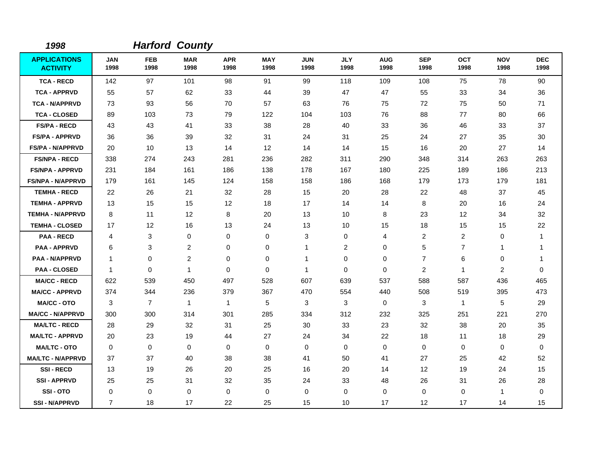| 1998                                   |                    |                    | <b>Harford County</b> |                    |                    |                    |                    |                    |                    |                    |                    |                    |
|----------------------------------------|--------------------|--------------------|-----------------------|--------------------|--------------------|--------------------|--------------------|--------------------|--------------------|--------------------|--------------------|--------------------|
| <b>APPLICATIONS</b><br><b>ACTIVITY</b> | <b>JAN</b><br>1998 | <b>FEB</b><br>1998 | <b>MAR</b><br>1998    | <b>APR</b><br>1998 | <b>MAY</b><br>1998 | <b>JUN</b><br>1998 | <b>JLY</b><br>1998 | <b>AUG</b><br>1998 | <b>SEP</b><br>1998 | <b>OCT</b><br>1998 | <b>NOV</b><br>1998 | <b>DEC</b><br>1998 |
| <b>TCA - RECD</b>                      | 142                | 97                 | 101                   | 98                 | 91                 | 99                 | 118                | 109                | 108                | 75                 | 78                 | 90                 |
| <b>TCA - APPRVD</b>                    | 55                 | 57                 | 62                    | 33                 | 44                 | 39                 | 47                 | 47                 | 55                 | 33                 | 34                 | 36                 |
| <b>TCA - N/APPRVD</b>                  | 73                 | 93                 | 56                    | 70                 | 57                 | 63                 | 76                 | 75                 | 72                 | 75                 | 50                 | 71                 |
| <b>TCA - CLOSED</b>                    | 89                 | 103                | 73                    | 79                 | 122                | 104                | 103                | 76                 | 88                 | 77                 | 80                 | 66                 |
| <b>FS/PA - RECD</b>                    | 43                 | 43                 | 41                    | 33                 | 38                 | 28                 | 40                 | 33                 | 36                 | 46                 | 33                 | 37                 |
| <b>FS/PA - APPRVD</b>                  | 36                 | 36                 | 39                    | 32                 | 31                 | 24                 | 31                 | 25                 | 24                 | 27                 | 35                 | 30                 |
| <b>FS/PA - N/APPRVD</b>                | 20                 | 10                 | 13                    | 14                 | 12                 | 14                 | 14                 | 15                 | 16                 | 20                 | 27                 | 14                 |
| <b>FS/NPA - RECD</b>                   | 338                | 274                | 243                   | 281                | 236                | 282                | 311                | 290                | 348                | 314                | 263                | 263                |
| <b>FS/NPA - APPRVD</b>                 | 231                | 184                | 161                   | 186                | 138                | 178                | 167                | 180                | 225                | 189                | 186                | 213                |
| <b>FS/NPA - N/APPRVD</b>               | 179                | 161                | 145                   | 124                | 158                | 158                | 186                | 168                | 179                | 173                | 179                | 181                |
| <b>TEMHA - RECD</b>                    | 22                 | 26                 | 21                    | 32                 | 28                 | 15                 | 20                 | 28                 | 22                 | 48                 | 37                 | 45                 |
| <b>TEMHA - APPRVD</b>                  | 13                 | 15                 | 15                    | 12 <sup>2</sup>    | 18                 | 17                 | 14                 | 14                 | 8                  | 20                 | 16                 | 24                 |
| <b>TEMHA - N/APPRVD</b>                | 8                  | 11                 | 12                    | 8                  | 20                 | 13                 | 10                 | 8                  | 23                 | 12                 | 34                 | 32                 |
| <b>TEMHA - CLOSED</b>                  | 17                 | $12 \,$            | 16                    | 13                 | 24                 | 13                 | 10                 | 15                 | 18                 | 15                 | 15                 | 22                 |
| <b>PAA - RECD</b>                      | 4                  | 3                  | 0                     | 0                  | 0                  | 3                  | 0                  | 4                  | 2                  | $\overline{c}$     | 0                  | 1                  |
| <b>PAA - APPRVD</b>                    | 6                  | 3                  | 2                     | 0                  | 0                  | 1                  | 2                  | 0                  | 5                  | $\overline{7}$     | $\mathbf{1}$       | 1                  |
| <b>PAA - N/APPRVD</b>                  | 1                  | 0                  | $\overline{c}$        | 0                  | $\mathbf 0$        | $\mathbf{1}$       | 0                  | 0                  | $\overline{7}$     | 6                  | 0                  | 1                  |
| <b>PAA - CLOSED</b>                    | 1                  | $\mathbf 0$        | $\mathbf{1}$          | $\mathbf 0$        | 0                  | $\mathbf{1}$       | 0                  | $\mathbf 0$        | 2                  | $\mathbf{1}$       | 2                  | $\mathbf 0$        |
| <b>MA/CC - RECD</b>                    | 622                | 539                | 450                   | 497                | 528                | 607                | 639                | 537                | 588                | 587                | 436                | 465                |
| <b>MA/CC - APPRVD</b>                  | 374                | 344                | 236                   | 379                | 367                | 470                | 554                | 440                | 508                | 519                | 395                | 473                |
| MA/CC - OTO                            | 3                  | $\overline{7}$     | $\mathbf{1}$          | $\mathbf{1}$       | 5                  | 3                  | 3                  | 0                  | 3                  | $\mathbf{1}$       | 5                  | 29                 |
| <b>MA/CC - N/APPRVD</b>                | 300                | 300                | 314                   | 301                | 285                | 334                | 312                | 232                | 325                | 251                | 221                | 270                |
| <b>MA/LTC - RECD</b>                   | 28                 | 29                 | 32                    | 31                 | 25                 | 30                 | 33                 | 23                 | 32                 | 38                 | 20                 | 35                 |
| <b>MA/LTC - APPRVD</b>                 | 20                 | 23                 | 19                    | 44                 | 27                 | 24                 | 34                 | 22                 | 18                 | 11                 | 18                 | 29                 |
| <b>MA/LTC - OTO</b>                    | $\mathbf 0$        | 0                  | 0                     | 0                  | 0                  | 0                  | 0                  | 0                  | 0                  | 0                  | 0                  | 0                  |
| <b>MA/LTC - N/APPRVD</b>               | 37                 | 37                 | 40                    | 38                 | 38                 | 41                 | 50                 | 41                 | 27                 | 25                 | 42                 | 52                 |
| <b>SSI-RECD</b>                        | 13                 | 19                 | 26                    | 20                 | 25                 | 16                 | 20                 | 14                 | 12                 | 19                 | 24                 | 15                 |
| <b>SSI - APPRVD</b>                    | 25                 | 25                 | 31                    | 32                 | 35                 | 24                 | 33                 | 48                 | 26                 | 31                 | 26                 | 28                 |
| SSI-OTO                                | 0                  | 0                  | 0                     | 0                  | $\mathbf 0$        | $\mathbf 0$        | 0                  | 0                  | $\pmb{0}$          | 0                  | $\mathbf{1}$       | 0                  |
| <b>SSI - N/APPRVD</b>                  | $\overline{7}$     | 18                 | 17                    | 22                 | 25                 | 15                 | 10                 | 17                 | 12                 | 17                 | 14                 | 15                 |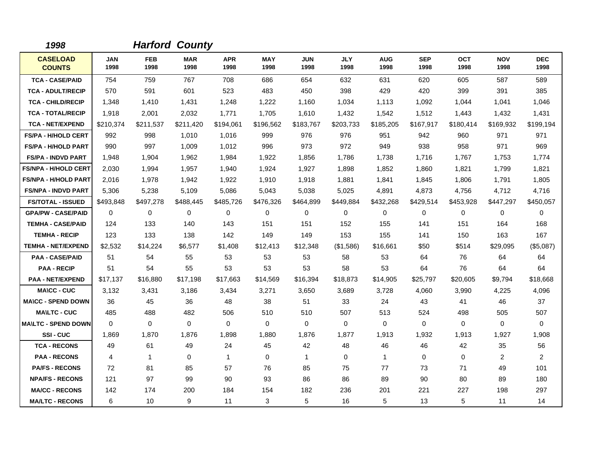| 1998                             |                    |                    | <b>Harford County</b> |                    |                    |                    |                    |                    |                    |                    |                    |                    |
|----------------------------------|--------------------|--------------------|-----------------------|--------------------|--------------------|--------------------|--------------------|--------------------|--------------------|--------------------|--------------------|--------------------|
| <b>CASELOAD</b><br><b>COUNTS</b> | <b>JAN</b><br>1998 | <b>FEB</b><br>1998 | <b>MAR</b><br>1998    | <b>APR</b><br>1998 | <b>MAY</b><br>1998 | <b>JUN</b><br>1998 | <b>JLY</b><br>1998 | <b>AUG</b><br>1998 | <b>SEP</b><br>1998 | <b>OCT</b><br>1998 | <b>NOV</b><br>1998 | <b>DEC</b><br>1998 |
| <b>TCA - CASE/PAID</b>           | 754                | 759                | 767                   | 708                | 686                | 654                | 632                | 631                | 620                | 605                | 587                | 589                |
| <b>TCA - ADULT/RECIP</b>         | 570                | 591                | 601                   | 523                | 483                | 450                | 398                | 429                | 420                | 399                | 391                | 385                |
| <b>TCA - CHILD/RECIP</b>         | 1,348              | 1,410              | 1,431                 | 1,248              | 1,222              | 1,160              | 1,034              | 1,113              | 1,092              | 1,044              | 1,041              | 1,046              |
| <b>TCA - TOTAL/RECIP</b>         | 1,918              | 2,001              | 2,032                 | 1,771              | 1,705              | 1,610              | 1,432              | 1,542              | 1,512              | 1,443              | 1,432              | 1,431              |
| <b>TCA - NET/EXPEND</b>          | \$210,374          | \$211,537          | \$211,420             | \$194,061          | \$196,562          | \$183,767          | \$203,733          | \$185,205          | \$167,917          | \$180,414          | \$169,932          | \$199,194          |
| <b>FS/PA - H/HOLD CERT</b>       | 992                | 998                | 1,010                 | 1,016              | 999                | 976                | 976                | 951                | 942                | 960                | 971                | 971                |
| <b>FS/PA - H/HOLD PART</b>       | 990                | 997                | 1,009                 | 1,012              | 996                | 973                | 972                | 949                | 938                | 958                | 971                | 969                |
| <b>FS/PA - INDVD PART</b>        | 1,948              | 1,904              | 1,962                 | 1,984              | 1,922              | 1,856              | 1,786              | 1,738              | 1,716              | 1,767              | 1,753              | 1,774              |
| <b>FS/NPA - H/HOLD CERT</b>      | 2,030              | 1,994              | 1,957                 | 1,940              | 1,924              | 1,927              | 1,898              | 1,852              | 1,860              | 1,821              | 1,799              | 1,821              |
| <b>FS/NPA - H/HOLD PART</b>      | 2,016              | 1,978              | 1.942                 | 1,922              | 1,910              | 1,918              | 1,881              | 1,841              | 1,845              | 1.806              | 1,791              | 1,805              |
| <b>FS/NPA - INDVD PART</b>       | 5,306              | 5,238              | 5,109                 | 5,086              | 5,043              | 5,038              | 5,025              | 4,891              | 4,873              | 4,756              | 4,712              | 4,716              |
| <b>FS/TOTAL - ISSUED</b>         | \$493,848          | \$497,278          | \$488,445             | \$485,726          | \$476,326          | \$464,899          | \$449,884          | \$432,268          | \$429,514          | \$453,928          | \$447,297          | \$450,057          |
| <b>GPA/PW - CASE/PAID</b>        | $\mathbf 0$        | 0                  | 0                     | 0                  | 0                  | 0                  | 0                  | 0                  | 0                  | 0                  | 0                  | 0                  |
| <b>TEMHA - CASE/PAID</b>         | 124                | 133                | 140                   | 143                | 151                | 151                | 152                | 155                | 141                | 151                | 164                | 168                |
| <b>TEMHA - RECIP</b>             | 123                | 133                | 138                   | 142                | 149                | 149                | 153                | 155                | 141                | 150                | 163                | 167                |
| <b>TEMHA - NET/EXPEND</b>        | \$2,532            | \$14,224           | \$6,577               | \$1,408            | \$12,413           | \$12,348           | (\$1,586)          | \$16,661           | \$50               | \$514              | \$29,095           | (\$5,087)          |
| <b>PAA - CASE/PAID</b>           | 51                 | 54                 | 55                    | 53                 | 53                 | 53                 | 58                 | 53                 | 64                 | 76                 | 64                 | 64                 |
| <b>PAA - RECIP</b>               | 51                 | 54                 | 55                    | 53                 | 53                 | 53                 | 58                 | 53                 | 64                 | 76                 | 64                 | 64                 |
| <b>PAA - NET/EXPEND</b>          | \$17,137           | \$16,880           | \$17,198              | \$17,663           | \$14,569           | \$16,394           | \$18,873           | \$14,905           | \$25,797           | \$20,605           | \$9,794            | \$18,668           |
| <b>MA\CC - CUC</b>               | 3,132              | 3,431              | 3,186                 | 3,434              | 3,271              | 3,650              | 3,689              | 3,728              | 4,060              | 3,990              | 4,225              | 4,096              |
| <b>MA\CC - SPEND DOWN</b>        | 36                 | 45                 | 36                    | 48                 | 38                 | 51                 | 33                 | 24                 | 43                 | 41                 | 46                 | 37                 |
| <b>MAILTC - CUC</b>              | 485                | 488                | 482                   | 506                | 510                | 510                | 507                | 513                | 524                | 498                | 505                | 507                |
| <b>MAILTC - SPEND DOWN</b>       | $\Omega$           | $\Omega$           | $\mathbf 0$           | $\mathbf 0$        | $\mathbf 0$        | $\mathbf 0$        | $\Omega$           | $\mathbf 0$        | $\mathbf 0$        | 0                  | $\mathbf 0$        | 0                  |
| SSI-CUC                          | 1,869              | 1,870              | 1,876                 | 1,898              | 1,880              | 1,876              | 1,877              | 1,913              | 1,932              | 1,913              | 1,927              | 1,908              |
| <b>TCA - RECONS</b>              | 49                 | 61                 | 49                    | 24                 | 45                 | 42                 | 48                 | 46                 | 46                 | 42                 | 35                 | 56                 |
| <b>PAA - RECONS</b>              | 4                  | 1                  | $\Omega$              | $\mathbf{1}$       | $\mathbf 0$        | $\mathbf{1}$       | $\Omega$           | $\mathbf{1}$       | $\Omega$           | $\Omega$           | 2                  | $\overline{2}$     |
| <b>PA/FS - RECONS</b>            | 72                 | 81                 | 85                    | 57                 | 76                 | 85                 | 75                 | 77                 | 73                 | 71                 | 49                 | 101                |
| <b>NPA/FS - RECONS</b>           | 121                | 97                 | 99                    | 90                 | 93                 | 86                 | 86                 | 89                 | 90                 | 80                 | 89                 | 180                |
| <b>MA/CC - RECONS</b>            | 142                | 174                | 200                   | 184                | 154                | 182                | 236                | 201                | 221                | 227                | 198                | 297                |
| <b>MA/LTC - RECONS</b>           | 6                  | 10                 | 9                     | 11                 | 3                  | 5                  | 16                 | 5                  | 13                 | 5                  | 11                 | 14                 |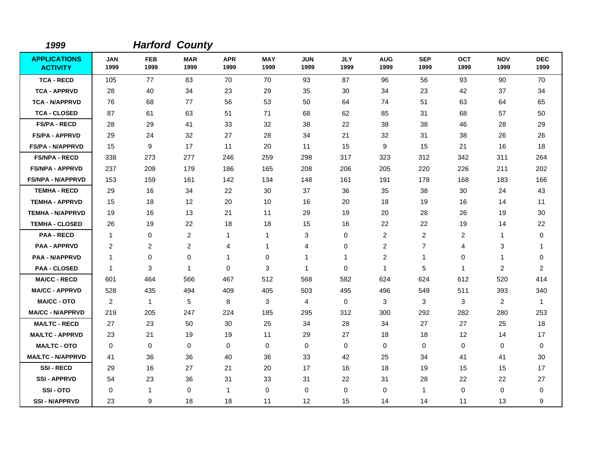| 1999                                   |                    |                    | <b>Harford County</b> |                    |                    |                    |                    |                         |                    |                    |                    |                    |
|----------------------------------------|--------------------|--------------------|-----------------------|--------------------|--------------------|--------------------|--------------------|-------------------------|--------------------|--------------------|--------------------|--------------------|
| <b>APPLICATIONS</b><br><b>ACTIVITY</b> | <b>JAN</b><br>1999 | <b>FEB</b><br>1999 | <b>MAR</b><br>1999    | <b>APR</b><br>1999 | <b>MAY</b><br>1999 | <b>JUN</b><br>1999 | <b>JLY</b><br>1999 | <b>AUG</b><br>1999      | <b>SEP</b><br>1999 | <b>OCT</b><br>1999 | <b>NOV</b><br>1999 | <b>DEC</b><br>1999 |
| <b>TCA - RECD</b>                      | 105                | 77                 | 83                    | 70                 | 70                 | 93                 | 87                 | 96                      | 56                 | 93                 | 90                 | 70                 |
| <b>TCA - APPRVD</b>                    | 28                 | 40                 | 34                    | 23                 | 29                 | 35                 | 30                 | 34                      | 23                 | 42                 | 37                 | 34                 |
| <b>TCA - N/APPRVD</b>                  | 76                 | 68                 | 77                    | 56                 | 53                 | 50                 | 64                 | 74                      | 51                 | 63                 | 64                 | 65                 |
| <b>TCA - CLOSED</b>                    | 87                 | 61                 | 63                    | 51                 | 71                 | 68                 | 62                 | 85                      | 31                 | 68                 | 57                 | 50                 |
| <b>FS/PA - RECD</b>                    | 28                 | 29                 | 41                    | 33                 | 32                 | 38                 | 22                 | 38                      | 38                 | 46                 | 28                 | 29                 |
| <b>FS/PA - APPRVD</b>                  | 29                 | 24                 | 32                    | 27                 | 28                 | 34                 | 21                 | 32                      | 31                 | 38                 | 26                 | 26                 |
| <b>FS/PA - N/APPRVD</b>                | 15                 | 9                  | 17                    | 11                 | 20                 | 11                 | 15                 | 9                       | 15                 | 21                 | 16                 | 18                 |
| <b>FS/NPA - RECD</b>                   | 338                | 273                | 277                   | 246                | 259                | 298                | 317                | 323                     | 312                | 342                | 311                | 264                |
| <b>FS/NPA - APPRVD</b>                 | 237                | 209                | 179                   | 186                | 165                | 208                | 206                | 205                     | 220                | 226                | 211                | 202                |
| <b>FS/NPA - N/APPRVD</b>               | 153                | 159                | 161                   | 142                | 134                | 148                | 161                | 191                     | 178                | 168                | 183                | 166                |
| <b>TEMHA - RECD</b>                    | 29                 | 16                 | 34                    | 22                 | 30                 | 37                 | 36                 | 35                      | 38                 | 30                 | 24                 | 43                 |
| <b>TEMHA - APPRVD</b>                  | 15                 | 18                 | 12                    | 20                 | 10                 | 16                 | 20                 | 18                      | 19                 | 16                 | 14                 | 11                 |
| <b>TEMHA - N/APPRVD</b>                | 19                 | 16                 | 13                    | 21                 | 11                 | 29                 | 19                 | 20                      | 28                 | 26                 | 19                 | 30                 |
| <b>TEMHA - CLOSED</b>                  | 26                 | 19                 | 22                    | 18                 | 18                 | 15                 | 16                 | 22                      | 22                 | 19                 | 14                 | 22                 |
| <b>PAA - RECD</b>                      | $\overline{1}$     | 0                  | $\overline{c}$        | 1                  | 1                  | 3                  | $\mathbf 0$        | $\overline{c}$          | $\overline{c}$     | $\overline{c}$     | 1                  | $\pmb{0}$          |
| <b>PAA - APPRVD</b>                    | $\overline{2}$     | $\overline{2}$     | $\overline{c}$        | 4                  | 1                  | 4                  | 0                  | $\overline{\mathbf{c}}$ | $\overline{7}$     | 4                  | 3                  | -1                 |
| <b>PAA - N/APPRVD</b>                  | $\overline{1}$     | 0                  | $\mathbf 0$           | 1                  | $\mathbf 0$        | 1                  | $\mathbf 1$        | 2                       | $\mathbf{1}$       | 0                  | 1                  | 0                  |
| <b>PAA - CLOSED</b>                    | $\mathbf 1$        | 3                  | $\overline{1}$        | $\mathbf 0$        | $\sqrt{3}$         | 1                  | $\mathbf 0$        | $\mathbf{1}$            | 5                  | $\mathbf{1}$       | $\overline{c}$     | $\overline{2}$     |
| <b>MA/CC - RECD</b>                    | 601                | 464                | 566                   | 467                | 512                | 568                | 582                | 624                     | 624                | 612                | 520                | 414                |
| <b>MA/CC - APPRVD</b>                  | 528                | 435                | 494                   | 409                | 405                | 503                | 495                | 496                     | 549                | 511                | 393                | 340                |
| <b>MA/CC - OTO</b>                     | $\overline{c}$     | $\mathbf{1}$       | 5                     | 8                  | 3                  | 4                  | 0                  | 3                       | 3                  | 3                  | $\overline{2}$     | $\overline{1}$     |
| <b>MA/CC - N/APPRVD</b>                | 219                | 205                | 247                   | 224                | 185                | 295                | 312                | 300                     | 292                | 282                | 280                | 253                |
| <b>MA/LTC - RECD</b>                   | 27                 | 23                 | 50                    | 30                 | 25                 | 34                 | 28                 | 34                      | 27                 | 27                 | 25                 | 18                 |
| <b>MA/LTC - APPRVD</b>                 | 23                 | 21                 | 19                    | 19                 | 11                 | 29                 | 27                 | 18                      | 18                 | 12                 | 14                 | 17                 |
| <b>MA/LTC - OTO</b>                    | 0                  | 0                  | 0                     | 0                  | 0                  | 0                  | 0                  | 0                       | 0                  | 0                  | 0                  | 0                  |
| <b>MA/LTC - N/APPRVD</b>               | 41                 | 36                 | 36                    | 40                 | 36                 | 33                 | 42                 | 25                      | 34                 | 41                 | 41                 | 30                 |
| <b>SSI-RECD</b>                        | 29                 | 16                 | 27                    | 21                 | 20                 | 17                 | 16                 | 18                      | 19                 | 15                 | 15                 | 17                 |
| <b>SSI - APPRVD</b>                    | 54                 | 23                 | 36                    | 31                 | 33                 | 31                 | 22                 | 31                      | 28                 | 22                 | 22                 | 27                 |
| SSI-OTO                                | 0                  | 1                  | 0                     | 1                  | 0                  | 0                  | $\mathbf 0$        | 0                       | $\mathbf 1$        | 0                  | 0                  | 0                  |
| <b>SSI - N/APPRVD</b>                  | 23                 | 9                  | 18                    | 18                 | 11                 | 12                 | 15                 | 14                      | 14                 | 11                 | 13                 | 9                  |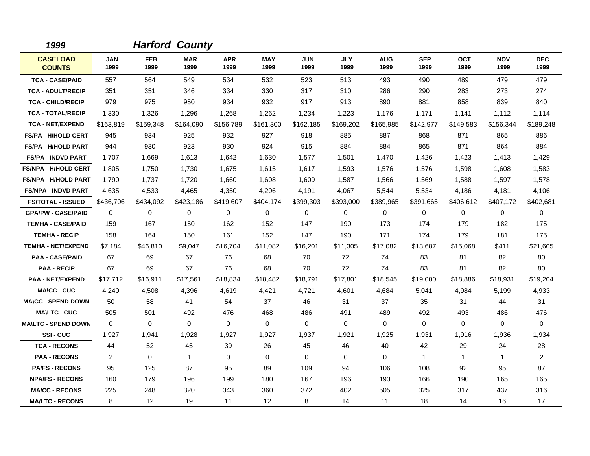| 1999                             |                    |                    | <b>Harford County</b> |                    |                    |                    |                    |                    |                    |                    |                    |                    |
|----------------------------------|--------------------|--------------------|-----------------------|--------------------|--------------------|--------------------|--------------------|--------------------|--------------------|--------------------|--------------------|--------------------|
| <b>CASELOAD</b><br><b>COUNTS</b> | <b>JAN</b><br>1999 | <b>FEB</b><br>1999 | <b>MAR</b><br>1999    | <b>APR</b><br>1999 | <b>MAY</b><br>1999 | <b>JUN</b><br>1999 | <b>JLY</b><br>1999 | <b>AUG</b><br>1999 | <b>SEP</b><br>1999 | <b>OCT</b><br>1999 | <b>NOV</b><br>1999 | <b>DEC</b><br>1999 |
| <b>TCA - CASE/PAID</b>           | 557                | 564                | 549                   | 534                | 532                | 523                | 513                | 493                | 490                | 489                | 479                | 479                |
| <b>TCA - ADULT/RECIP</b>         | 351                | 351                | 346                   | 334                | 330                | 317                | 310                | 286                | 290                | 283                | 273                | 274                |
| <b>TCA - CHILD/RECIP</b>         | 979                | 975                | 950                   | 934                | 932                | 917                | 913                | 890                | 881                | 858                | 839                | 840                |
| <b>TCA - TOTAL/RECIP</b>         | 1,330              | 1,326              | 1,296                 | 1,268              | 1,262              | 1,234              | 1,223              | 1,176              | 1,171              | 1,141              | 1,112              | 1,114              |
| <b>TCA - NET/EXPEND</b>          | \$163,819          | \$159,348          | \$164,090             | \$156,789          | \$161.300          | \$162,185          | \$169,202          | \$165,985          | \$142,977          | \$149,583          | \$156,344          | \$189,248          |
| <b>FS/PA - H/HOLD CERT</b>       | 945                | 934                | 925                   | 932                | 927                | 918                | 885                | 887                | 868                | 871                | 865                | 886                |
| <b>FS/PA - H/HOLD PART</b>       | 944                | 930                | 923                   | 930                | 924                | 915                | 884                | 884                | 865                | 871                | 864                | 884                |
| <b>FS/PA - INDVD PART</b>        | 1,707              | 1,669              | 1,613                 | 1,642              | 1,630              | 1,577              | 1,501              | 1,470              | 1,426              | 1,423              | 1,413              | 1,429              |
| <b>FS/NPA - H/HOLD CERT</b>      | 1,805              | 1,750              | 1.730                 | 1,675              | 1,615              | 1,617              | 1,593              | 1,576              | 1,576              | 1,598              | 1,608              | 1,583              |
| <b>FS/NPA - H/HOLD PART</b>      | 1,790              | 1,737              | 1,720                 | 1,660              | 1,608              | 1,609              | 1,587              | 1,566              | 1,569              | 1,588              | 1,597              | 1,578              |
| <b>FS/NPA - INDVD PART</b>       | 4,635              | 4,533              | 4,465                 | 4,350              | 4,206              | 4,191              | 4,067              | 5,544              | 5,534              | 4,186              | 4,181              | 4,106              |
| <b>FS/TOTAL - ISSUED</b>         | \$436,706          | \$434,092          | \$423,186             | \$419,607          | \$404,174          | \$399,303          | \$393,000          | \$389,965          | \$391,665          | \$406,612          | \$407,172          | \$402,681          |
| <b>GPA/PW - CASE/PAID</b>        | $\Omega$           | 0                  | 0                     | $\mathbf 0$        | 0                  | $\Omega$           | $\mathbf 0$        | $\mathbf 0$        | $\mathbf 0$        | 0                  | $\mathbf 0$        | $\mathbf 0$        |
| <b>TEMHA - CASE/PAID</b>         | 159                | 167                | 150                   | 162                | 152                | 147                | 190                | 173                | 174                | 179                | 182                | 175                |
| <b>TEMHA - RECIP</b>             | 158                | 164                | 150                   | 161                | 152                | 147                | 190                | 171                | 174                | 179                | 181                | 175                |
| <b>TEMHA - NET/EXPEND</b>        | \$7,184            | \$46,810           | \$9,047               | \$16,704           | \$11,082           | \$16,201           | \$11,305           | \$17,082           | \$13,687           | \$15,068           | \$411              | \$21,605           |
| <b>PAA - CASE/PAID</b>           | 67                 | 69                 | 67                    | 76                 | 68                 | 70                 | 72                 | 74                 | 83                 | 81                 | 82                 | 80                 |
| <b>PAA - RECIP</b>               | 67                 | 69                 | 67                    | 76                 | 68                 | 70                 | 72                 | 74                 | 83                 | 81                 | 82                 | 80                 |
| <b>PAA - NET/EXPEND</b>          | \$17,712           | \$16,911           | \$17,561              | \$18,834           | \$18,482           | \$18,791           | \$17,801           | \$18,545           | \$19,000           | \$18,886           | \$18,931           | \$19,204           |
| <b>MA\CC - CUC</b>               | 4,240              | 4,508              | 4,396                 | 4,619              | 4,421              | 4,721              | 4,601              | 4,684              | 5,041              | 4,984              | 5,199              | 4,933              |
| <b>MA\CC - SPEND DOWN</b>        | 50                 | 58                 | 41                    | 54                 | 37                 | 46                 | 31                 | 37                 | 35                 | 31                 | 44                 | 31                 |
| <b>MA\LTC - CUC</b>              | 505                | 501                | 492                   | 476                | 468                | 486                | 491                | 489                | 492                | 493                | 486                | 476                |
| <b>MAILTC - SPEND DOWN</b>       | $\Omega$           | $\Omega$           | $\mathbf 0$           | $\Omega$           | 0                  | 0                  | $\Omega$           | 0                  | 0                  | 0                  | $\mathbf 0$        | 0                  |
| SSI-CUC                          | 1,927              | 1,941              | 1,928                 | 1,927              | 1,927              | 1,937              | 1,921              | 1,925              | 1,931              | 1,916              | 1,936              | 1,934              |
| <b>TCA - RECONS</b>              | 44                 | 52                 | 45                    | 39                 | 26                 | 45                 | 46                 | 40                 | 42                 | 29                 | 24                 | 28                 |
| <b>PAA - RECONS</b>              | 2                  | $\Omega$           | $\overline{1}$        | $\Omega$           | 0                  | $\Omega$           | $\Omega$           | 0                  | $\mathbf 1$        | $\mathbf 1$        | $\mathbf{1}$       | $\overline{a}$     |
| <b>PA/FS - RECONS</b>            | 95                 | 125                | 87                    | 95                 | 89                 | 109                | 94                 | 106                | 108                | 92                 | 95                 | 87                 |
| <b>NPA/FS - RECONS</b>           | 160                | 179                | 196                   | 199                | 180                | 167                | 196                | 193                | 166                | 190                | 165                | 165                |
| <b>MA/CC - RECONS</b>            | 225                | 248                | 320                   | 343                | 360                | 372                | 402                | 505                | 325                | 317                | 437                | 316                |
| <b>MA/LTC - RECONS</b>           | 8                  | $12 \overline{ }$  | 19                    | 11                 | 12                 | 8                  | 14                 | 11                 | 18                 | 14                 | 16                 | 17                 |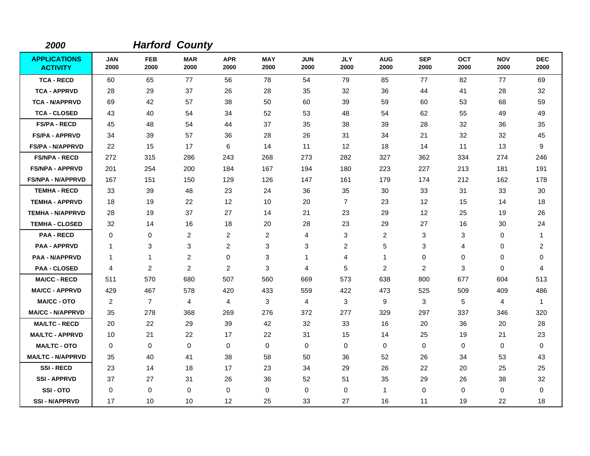| 2000                                   |                    |                    | <b>Harford County</b> |                    |                    |                    |                    |                    |                    |                    |                    |                    |
|----------------------------------------|--------------------|--------------------|-----------------------|--------------------|--------------------|--------------------|--------------------|--------------------|--------------------|--------------------|--------------------|--------------------|
| <b>APPLICATIONS</b><br><b>ACTIVITY</b> | <b>JAN</b><br>2000 | <b>FEB</b><br>2000 | <b>MAR</b><br>2000    | <b>APR</b><br>2000 | <b>MAY</b><br>2000 | <b>JUN</b><br>2000 | <b>JLY</b><br>2000 | <b>AUG</b><br>2000 | <b>SEP</b><br>2000 | <b>OCT</b><br>2000 | <b>NOV</b><br>2000 | <b>DEC</b><br>2000 |
| <b>TCA - RECD</b>                      | 60                 | 65                 | 77                    | 56                 | 78                 | 54                 | 79                 | 85                 | 77                 | 82                 | 77                 | 69                 |
| <b>TCA - APPRVD</b>                    | 28                 | 29                 | 37                    | 26                 | 28                 | 35                 | 32                 | 36                 | 44                 | 41                 | 28                 | 32                 |
| <b>TCA - N/APPRVD</b>                  | 69                 | 42                 | 57                    | 38                 | 50                 | 60                 | 39                 | 59                 | 60                 | 53                 | 68                 | 59                 |
| <b>TCA - CLOSED</b>                    | 43                 | 40                 | 54                    | 34                 | 52                 | 53                 | 48                 | 54                 | 62                 | 55                 | 49                 | 49                 |
| <b>FS/PA - RECD</b>                    | 45                 | 48                 | 54                    | 44                 | 37                 | 35                 | 38                 | 39                 | 28                 | 32                 | 36                 | 35                 |
| <b>FS/PA - APPRVD</b>                  | 34                 | 39                 | 57                    | 36                 | 28                 | 26                 | 31                 | 34                 | 21                 | 32                 | 32                 | 45                 |
| <b>FS/PA - N/APPRVD</b>                | 22                 | 15                 | 17                    | 6                  | 14                 | 11                 | $12 \overline{ }$  | 18                 | 14                 | 11                 | 13                 | 9                  |
| <b>FS/NPA - RECD</b>                   | 272                | 315                | 286                   | 243                | 268                | 273                | 282                | 327                | 362                | 334                | 274                | 246                |
| <b>FS/NPA - APPRVD</b>                 | 201                | 254                | 200                   | 184                | 167                | 194                | 180                | 223                | 227                | 213                | 181                | 191                |
| <b>FS/NPA - N/APPRVD</b>               | 167                | 151                | 150                   | 129                | 126                | 147                | 161                | 179                | 174                | 212                | 162                | 178                |
| <b>TEMHA - RECD</b>                    | 33                 | 39                 | 48                    | 23                 | 24                 | 36                 | 35                 | 30                 | 33                 | 31                 | 33                 | 30                 |
| <b>TEMHA - APPRVD</b>                  | 18                 | 19                 | 22                    | 12                 | 10                 | 20                 | $\overline{7}$     | 23                 | 12                 | 15                 | 14                 | 18                 |
| <b>TEMHA - N/APPRVD</b>                | 28                 | 19                 | 37                    | 27                 | 14                 | 21                 | 23                 | 29                 | 12                 | 25                 | 19                 | 26                 |
| <b>TEMHA - CLOSED</b>                  | 32                 | 14                 | 16                    | 18                 | 20                 | 28                 | 23                 | 29                 | 27                 | 16                 | 30                 | 24                 |
| <b>PAA - RECD</b>                      | $\mathbf 0$        | 0                  | $\overline{c}$        | $\overline{c}$     | $\overline{c}$     | 4                  | 3                  | $\overline{c}$     | 3                  | 3                  | 0                  | 1                  |
| <b>PAA - APPRVD</b>                    | -1                 | 3                  | $\sqrt{3}$            | $\overline{c}$     | $\sqrt{3}$         | 3                  | $\overline{c}$     | 5                  | 3                  | 4                  | 0                  | $\overline{c}$     |
| <b>PAA - N/APPRVD</b>                  | $\mathbf 1$        | $\mathbf{1}$       | $\overline{c}$        | 0                  | 3                  | 1                  | 4                  | $\mathbf{1}$       | $\mathbf 0$        | 0                  | 0                  | 0                  |
| <b>PAA - CLOSED</b>                    | 4                  | 2                  | $\overline{c}$        | 2                  | 3                  | 4                  | 5                  | 2                  | $\overline{c}$     | 3                  | 0                  | 4                  |
| <b>MA/CC - RECD</b>                    | 511                | 570                | 680                   | 507                | 560                | 669                | 573                | 638                | 800                | 677                | 604                | 513                |
| <b>MA/CC - APPRVD</b>                  | 429                | 467                | 578                   | 420                | 433                | 559                | 422                | 473                | 525                | 509                | 409                | 486                |
| <b>MA/CC - OTO</b>                     | 2                  | $\overline{7}$     | $\overline{4}$        | 4                  | 3                  | 4                  | 3                  | 9                  | 3                  | 5                  | 4                  | $\overline{1}$     |
| <b>MA/CC - N/APPRVD</b>                | 35                 | 278                | 368                   | 269                | 276                | 372                | 277                | 329                | 297                | 337                | 346                | 320                |
| <b>MA/LTC - RECD</b>                   | 20                 | 22                 | 29                    | 39                 | 42                 | 32                 | 33                 | 16                 | 20                 | 36                 | 20                 | 28                 |
| <b>MA/LTC - APPRVD</b>                 | 10                 | 21                 | 22                    | 17                 | 22                 | 31                 | 15                 | 14                 | 25                 | 19                 | 21                 | 23                 |
| <b>MA/LTC - OTO</b>                    | 0                  | 0                  | $\mathbf 0$           | 0                  | 0                  | 0                  | 0                  | 0                  | $\mathbf 0$        | 0                  | 0                  | 0                  |
| <b>MA/LTC - N/APPRVD</b>               | 35                 | 40                 | 41                    | 38                 | 58                 | 50                 | 36                 | 52                 | 26                 | 34                 | 53                 | 43                 |
| <b>SSI-RECD</b>                        | 23                 | 14                 | 18                    | 17                 | 23                 | 34                 | 29                 | 26                 | 22                 | 20                 | 25                 | 25                 |
| <b>SSI - APPRVD</b>                    | 37                 | 27                 | 31                    | 26                 | 36                 | 52                 | 51                 | 35                 | 29                 | 26                 | 38                 | 32                 |
| SSI-OTO                                | $\Omega$           | 0                  | $\mathbf 0$           | $\mathbf 0$        | $\mathbf 0$        | 0                  | $\mathbf 0$        | $\mathbf{1}$       | $\mathbf 0$        | $\Omega$           | 0                  | 0                  |
| <b>SSI-N/APPRVD</b>                    | 17                 | 10                 | 10                    | 12                 | 25                 | 33                 | 27                 | 16                 | 11                 | 19                 | 22                 | 18                 |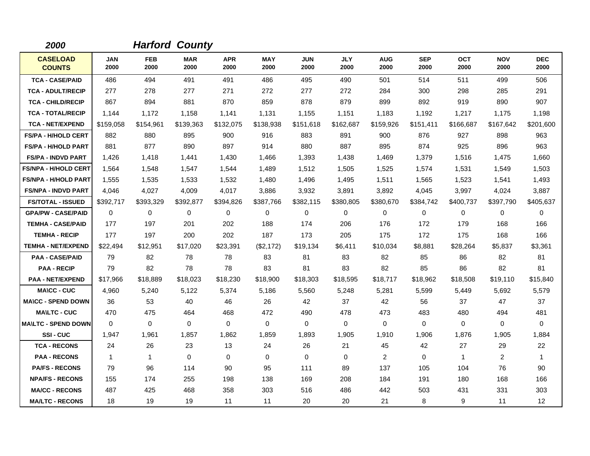| 2000                             |                    |                    | <b>Harford County</b> |                    |                    |                    |                    |                    |                    |                    |                    |                    |
|----------------------------------|--------------------|--------------------|-----------------------|--------------------|--------------------|--------------------|--------------------|--------------------|--------------------|--------------------|--------------------|--------------------|
| <b>CASELOAD</b><br><b>COUNTS</b> | <b>JAN</b><br>2000 | <b>FEB</b><br>2000 | <b>MAR</b><br>2000    | <b>APR</b><br>2000 | <b>MAY</b><br>2000 | <b>JUN</b><br>2000 | <b>JLY</b><br>2000 | <b>AUG</b><br>2000 | <b>SEP</b><br>2000 | <b>OCT</b><br>2000 | <b>NOV</b><br>2000 | <b>DEC</b><br>2000 |
| <b>TCA - CASE/PAID</b>           | 486                | 494                | 491                   | 491                | 486                | 495                | 490                | 501                | 514                | 511                | 499                | 506                |
| <b>TCA - ADULT/RECIP</b>         | 277                | 278                | 277                   | 271                | 272                | 277                | 272                | 284                | 300                | 298                | 285                | 291                |
| <b>TCA - CHILD/RECIP</b>         | 867                | 894                | 881                   | 870                | 859                | 878                | 879                | 899                | 892                | 919                | 890                | 907                |
| <b>TCA - TOTAL/RECIP</b>         | 1,144              | 1,172              | 1,158                 | 1,141              | 1,131              | 1,155              | 1,151              | 1,183              | 1,192              | 1,217              | 1,175              | 1,198              |
| <b>TCA - NET/EXPEND</b>          | \$159,058          | \$154,961          | \$139,363             | \$132,075          | \$138.938          | \$151,618          | \$162.687          | \$159,926          | \$151,411          | \$166.687          | \$167,642          | \$201,600          |
| <b>FS/PA - H/HOLD CERT</b>       | 882                | 880                | 895                   | 900                | 916                | 883                | 891                | 900                | 876                | 927                | 898                | 963                |
| <b>FS/PA - H/HOLD PART</b>       | 881                | 877                | 890                   | 897                | 914                | 880                | 887                | 895                | 874                | 925                | 896                | 963                |
| <b>FS/PA - INDVD PART</b>        | 1,426              | 1,418              | 1,441                 | 1,430              | 1,466              | 1,393              | 1,438              | 1,469              | 1,379              | 1,516              | 1,475              | 1,660              |
| <b>FS/NPA - H/HOLD CERT</b>      | 1,564              | 1,548              | 1.547                 | 1,544              | 1,489              | 1,512              | 1,505              | 1,525              | 1,574              | 1,531              | 1,549              | 1,503              |
| <b>FS/NPA - H/HOLD PART</b>      | 1,555              | 1,535              | 1,533                 | 1,532              | 1,480              | 1,496              | 1,495              | 1,511              | 1,565              | 1,523              | 1,541              | 1,493              |
| <b>FS/NPA - INDVD PART</b>       | 4,046              | 4,027              | 4,009                 | 4,017              | 3,886              | 3,932              | 3,891              | 3,892              | 4,045              | 3,997              | 4,024              | 3,887              |
| <b>FS/TOTAL - ISSUED</b>         | \$392,717          | \$393,329          | \$392,877             | \$394,826          | \$387,766          | \$382,115          | \$380,805          | \$380,670          | \$384,742          | \$400,737          | \$397,790          | \$405,637          |
| <b>GPA/PW - CASE/PAID</b>        | $\Omega$           | 0                  | $\mathbf 0$           | $\mathbf 0$        | 0                  | $\Omega$           | 0                  | 0                  | $\Omega$           | 0                  | $\mathbf 0$        | 0                  |
| <b>TEMHA - CASE/PAID</b>         | 177                | 197                | 201                   | 202                | 188                | 174                | 206                | 176                | 172                | 179                | 168                | 166                |
| <b>TEMHA - RECIP</b>             | 177                | 197                | 200                   | 202                | 187                | 173                | 205                | 175                | 172                | 175                | 168                | 166                |
| <b>TEMHA - NET/EXPEND</b>        | \$22,494           | \$12,951           | \$17,020              | \$23,391           | (\$2,172)          | \$19,134           | \$6,411            | \$10,034           | \$8,881            | \$28,264           | \$5,837            | \$3,361            |
| <b>PAA - CASE/PAID</b>           | 79                 | 82                 | 78                    | 78                 | 83                 | 81                 | 83                 | 82                 | 85                 | 86                 | 82                 | 81                 |
| <b>PAA - RECIP</b>               | 79                 | 82                 | 78                    | 78                 | 83                 | 81                 | 83                 | 82                 | 85                 | 86                 | 82                 | 81                 |
| <b>PAA - NET/EXPEND</b>          | \$17,966           | \$18,889           | \$18,023              | \$18,230           | \$18,900           | \$18,303           | \$18,595           | \$18,717           | \$18,962           | \$18,508           | \$19,110           | \$15,840           |
| <b>MA\CC - CUC</b>               | 4,960              | 5,240              | 5,122                 | 5,374              | 5,186              | 5,560              | 5,248              | 5,281              | 5,599              | 5,449              | 5,692              | 5,579              |
| <b>MA\CC - SPEND DOWN</b>        | 36                 | 53                 | 40                    | 46                 | 26                 | 42                 | 37                 | 42                 | 56                 | 37                 | 47                 | 37                 |
| <b>MA\LTC - CUC</b>              | 470                | 475                | 464                   | 468                | 472                | 490                | 478                | 473                | 483                | 480                | 494                | 481                |
| <b>MAILTC - SPEND DOWN</b>       | $\Omega$           | $\Omega$           | 0                     | $\Omega$           | 0                  | 0                  | $\Omega$           | 0                  | $\Omega$           | 0                  | $\mathbf 0$        | $\mathbf 0$        |
| SSI-CUC                          | 1,947              | 1,961              | 1,857                 | 1,862              | 1,859              | 1,893              | 1,905              | 1,910              | 1,906              | 1,876              | 1,905              | 1,884              |
| <b>TCA - RECONS</b>              | 24                 | 26                 | 23                    | 13                 | 24                 | 26                 | 21                 | 45                 | 42                 | 27                 | 29                 | 22                 |
| <b>PAA - RECONS</b>              | $\overline{1}$     | $\mathbf{1}$       | $\Omega$              | $\Omega$           | 0                  | $\Omega$           | $\Omega$           | 2                  | $\Omega$           | $\mathbf{1}$       | 2                  | $\mathbf{1}$       |
| <b>PA/FS - RECONS</b>            | 79                 | 96                 | 114                   | 90                 | 95                 | 111                | 89                 | 137                | 105                | 104                | 76                 | 90                 |
| <b>NPA/FS - RECONS</b>           | 155                | 174                | 255                   | 198                | 138                | 169                | 208                | 184                | 191                | 180                | 168                | 166                |
| <b>MA/CC - RECONS</b>            | 487                | 425                | 468                   | 358                | 303                | 516                | 486                | 442                | 503                | 431                | 331                | 303                |
| <b>MA/LTC - RECONS</b>           | 18                 | 19                 | 19                    | 11                 | 11                 | 20                 | 20                 | 21                 | 8                  | 9                  | 11                 | 12                 |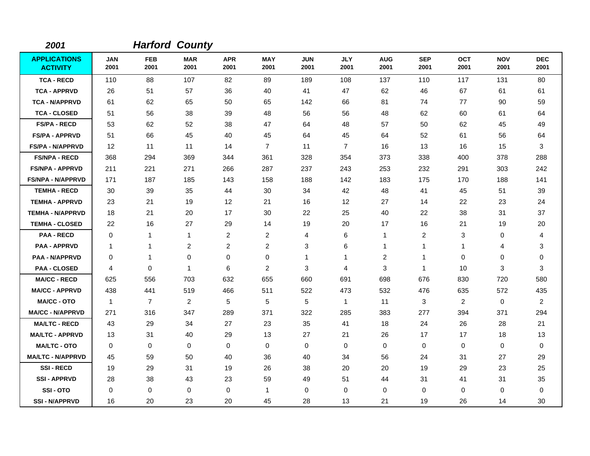| 2001                                   |                    |                    | <b>Harford County</b> |                    |                    |                    |                    |                         |                    |                    |                    |                    |
|----------------------------------------|--------------------|--------------------|-----------------------|--------------------|--------------------|--------------------|--------------------|-------------------------|--------------------|--------------------|--------------------|--------------------|
| <b>APPLICATIONS</b><br><b>ACTIVITY</b> | <b>JAN</b><br>2001 | <b>FEB</b><br>2001 | <b>MAR</b><br>2001    | <b>APR</b><br>2001 | <b>MAY</b><br>2001 | <b>JUN</b><br>2001 | <b>JLY</b><br>2001 | <b>AUG</b><br>2001      | <b>SEP</b><br>2001 | <b>OCT</b><br>2001 | <b>NOV</b><br>2001 | <b>DEC</b><br>2001 |
| <b>TCA - RECD</b>                      | 110                | 88                 | 107                   | 82                 | 89                 | 189                | 108                | 137                     | 110                | 117                | 131                | 80                 |
| <b>TCA - APPRVD</b>                    | 26                 | 51                 | 57                    | 36                 | 40                 | 41                 | 47                 | 62                      | 46                 | 67                 | 61                 | 61                 |
| <b>TCA - N/APPRVD</b>                  | 61                 | 62                 | 65                    | 50                 | 65                 | 142                | 66                 | 81                      | 74                 | 77                 | 90                 | 59                 |
| <b>TCA - CLOSED</b>                    | 51                 | 56                 | 38                    | 39                 | 48                 | 56                 | 56                 | 48                      | 62                 | 60                 | 61                 | 64                 |
| <b>FS/PA - RECD</b>                    | 53                 | 62                 | 52                    | 38                 | 47                 | 64                 | 48                 | 57                      | 50                 | 62                 | 45                 | 49                 |
| <b>FS/PA - APPRVD</b>                  | 51                 | 66                 | 45                    | 40                 | 45                 | 64                 | 45                 | 64                      | 52                 | 61                 | 56                 | 64                 |
| <b>FS/PA - N/APPRVD</b>                | 12                 | 11                 | 11                    | 14                 | $\overline{7}$     | 11                 | $\overline{7}$     | 16                      | 13                 | 16                 | 15                 | 3                  |
| <b>FS/NPA - RECD</b>                   | 368                | 294                | 369                   | 344                | 361                | 328                | 354                | 373                     | 338                | 400                | 378                | 288                |
| <b>FS/NPA - APPRVD</b>                 | 211                | 221                | 271                   | 266                | 287                | 237                | 243                | 253                     | 232                | 291                | 303                | 242                |
| <b>FS/NPA - N/APPRVD</b>               | 171                | 187                | 185                   | 143                | 158                | 188                | 142                | 183                     | 175                | 170                | 188                | 141                |
| <b>TEMHA - RECD</b>                    | 30                 | 39                 | 35                    | 44                 | 30                 | 34                 | 42                 | 48                      | 41                 | 45                 | 51                 | 39                 |
| <b>TEMHA - APPRVD</b>                  | 23                 | 21                 | 19                    | 12                 | 21                 | 16                 | $12 \,$            | 27                      | 14                 | 22                 | 23                 | 24                 |
| <b>TEMHA - N/APPRVD</b>                | 18                 | 21                 | 20                    | 17                 | 30                 | 22                 | 25                 | 40                      | 22                 | 38                 | 31                 | 37                 |
| <b>TEMHA - CLOSED</b>                  | 22                 | 16                 | 27                    | 29                 | 14                 | 19                 | 20                 | 17                      | 16                 | 21                 | 19                 | 20                 |
| <b>PAA - RECD</b>                      | 0                  | 1                  | $\mathbf{1}$          | $\overline{c}$     | $\overline{2}$     | 4                  | 6                  | $\mathbf{1}$            | 2                  | 3                  | 0                  | 4                  |
| <b>PAA - APPRVD</b>                    | -1                 | 1                  | $\overline{2}$        | 2                  | $\overline{c}$     | 3                  | 6                  | 1                       | 1                  | $\mathbf 1$        | 4                  | 3                  |
| <b>PAA - N/APPRVD</b>                  | 0                  | $\mathbf{1}$       | $\mathbf 0$           | 0                  | 0                  | 1                  | $\mathbf{1}$       | $\overline{\mathbf{c}}$ | $\mathbf{1}$       | 0                  | 0                  | 0                  |
| <b>PAA - CLOSED</b>                    | 4                  | 0                  | $\overline{1}$        | 6                  | $\overline{2}$     | 3                  | $\overline{4}$     | 3                       | $\mathbf 1$        | 10                 | 3                  | 3                  |
| <b>MA/CC - RECD</b>                    | 625                | 556                | 703                   | 632                | 655                | 660                | 691                | 698                     | 676                | 830                | 720                | 580                |
| <b>MA/CC - APPRVD</b>                  | 438                | 441                | 519                   | 466                | 511                | 522                | 473                | 532                     | 476                | 635                | 572                | 435                |
| <b>MA/CC - OTO</b>                     | $\overline{1}$     | $\overline{7}$     | $\overline{2}$        | 5                  | 5                  | 5                  | $\mathbf{1}$       | 11                      | 3                  | $\overline{2}$     | 0                  | $\overline{2}$     |
| <b>MA/CC - N/APPRVD</b>                | 271                | 316                | 347                   | 289                | 371                | 322                | 285                | 383                     | 277                | 394                | 371                | 294                |
| <b>MA/LTC - RECD</b>                   | 43                 | 29                 | 34                    | 27                 | 23                 | 35                 | 41                 | 18                      | 24                 | 26                 | 28                 | 21                 |
| <b>MA/LTC - APPRVD</b>                 | 13                 | 31                 | 40                    | 29                 | 13                 | 27                 | 21                 | 26                      | 17                 | 17                 | 18                 | 13                 |
| <b>MA/LTC - OTO</b>                    | $\mathbf 0$        | 0                  | $\mathbf 0$           | $\mathbf 0$        | 0                  | 0                  | $\mathbf 0$        | 0                       | $\mathbf 0$        | 0                  | 0                  | 0                  |
| <b>MA/LTC - N/APPRVD</b>               | 45                 | 59                 | 50                    | 40                 | 36                 | 40                 | 34                 | 56                      | 24                 | 31                 | 27                 | 29                 |
| <b>SSI-RECD</b>                        | 19                 | 29                 | 31                    | 19                 | 26                 | 38                 | 20                 | 20                      | 19                 | 29                 | 23                 | 25                 |
| <b>SSI-APPRVD</b>                      | 28                 | 38                 | 43                    | 23                 | 59                 | 49                 | 51                 | 44                      | 31                 | 41                 | 31                 | 35                 |
| SSI-OTO                                | $\Omega$           | 0                  | 0                     | 0                  | $\mathbf{1}$       | $\Omega$           | $\Omega$           | 0                       | $\Omega$           | $\Omega$           | 0                  | 0                  |
| <b>SSI-N/APPRVD</b>                    | 16                 | 20                 | 23                    | 20                 | 45                 | 28                 | 13                 | 21                      | 19                 | 26                 | 14                 | 30                 |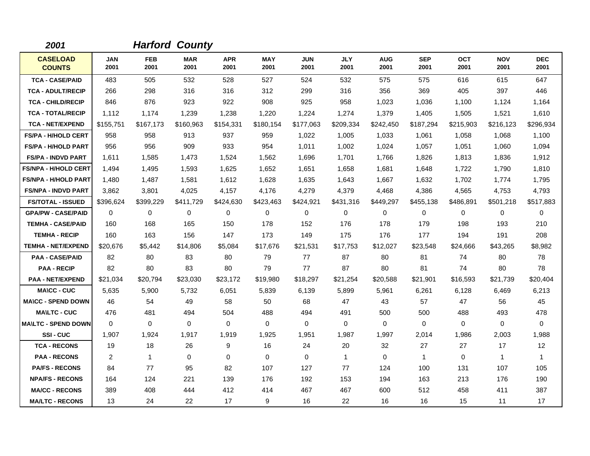| 2001                             |                    |                    | <b>Harford County</b> |                    |                    |                    |                    |                    |                    |                    |                    |                    |
|----------------------------------|--------------------|--------------------|-----------------------|--------------------|--------------------|--------------------|--------------------|--------------------|--------------------|--------------------|--------------------|--------------------|
| <b>CASELOAD</b><br><b>COUNTS</b> | <b>JAN</b><br>2001 | <b>FEB</b><br>2001 | <b>MAR</b><br>2001    | <b>APR</b><br>2001 | <b>MAY</b><br>2001 | <b>JUN</b><br>2001 | <b>JLY</b><br>2001 | <b>AUG</b><br>2001 | <b>SEP</b><br>2001 | <b>OCT</b><br>2001 | <b>NOV</b><br>2001 | <b>DEC</b><br>2001 |
| <b>TCA - CASE/PAID</b>           | 483                | 505                | 532                   | 528                | 527                | 524                | 532                | 575                | 575                | 616                | 615                | 647                |
| <b>TCA - ADULT/RECIP</b>         | 266                | 298                | 316                   | 316                | 312                | 299                | 316                | 356                | 369                | 405                | 397                | 446                |
| <b>TCA - CHILD/RECIP</b>         | 846                | 876                | 923                   | 922                | 908                | 925                | 958                | 1,023              | 1,036              | 1.100              | 1,124              | 1,164              |
| <b>TCA - TOTAL/RECIP</b>         | 1,112              | 1,174              | 1,239                 | 1,238              | 1,220              | 1,224              | 1,274              | 1,379              | 1,405              | 1,505              | 1,521              | 1,610              |
| <b>TCA - NET/EXPEND</b>          | \$155,751          | \$167,173          | \$160,963             | \$154,331          | \$180,154          | \$177,063          | \$209,334          | \$242,450          | \$187,294          | \$215,903          | \$216,123          | \$296,934          |
| <b>FS/PA - H/HOLD CERT</b>       | 958                | 958                | 913                   | 937                | 959                | 1.022              | 1.005              | 1,033              | 1,061              | 1.058              | 1,068              | 1,100              |
| <b>FS/PA - H/HOLD PART</b>       | 956                | 956                | 909                   | 933                | 954                | 1,011              | 1,002              | 1,024              | 1,057              | 1,051              | 1,060              | 1,094              |
| <b>FS/PA - INDVD PART</b>        | 1,611              | 1,585              | 1,473                 | 1,524              | 1,562              | 1,696              | 1.701              | 1,766              | 1,826              | 1,813              | 1,836              | 1,912              |
| <b>FS/NPA - H/HOLD CERT</b>      | 1,494              | 1,495              | 1,593                 | 1,625              | 1,652              | 1,651              | 1,658              | 1,681              | 1,648              | 1,722              | 1,790              | 1,810              |
| <b>FS/NPA - H/HOLD PART</b>      | 1,480              | 1.487              | 1.581                 | 1,612              | 1.628              | 1.635              | 1.643              | 1.667              | 1,632              | 1.702              | 1,774              | 1,795              |
| <b>FS/NPA - INDVD PART</b>       | 3,862              | 3,801              | 4.025                 | 4,157              | 4,176              | 4,279              | 4,379              | 4,468              | 4,386              | 4,565              | 4,753              | 4,793              |
| <b>FS/TOTAL - ISSUED</b>         | \$396,624          | \$399,229          | \$411,729             | \$424,630          | \$423,463          | \$424,921          | \$431,316          | \$449,297          | \$455,138          | \$486,891          | \$501,218          | \$517,883          |
| <b>GPA/PW - CASE/PAID</b>        | 0                  | 0                  | 0                     | 0                  | $\mathbf 0$        | 0                  | 0                  | 0                  | $\mathbf 0$        | 0                  | 0                  | 0                  |
| <b>TEMHA - CASE/PAID</b>         | 160                | 168                | 165                   | 150                | 178                | 152                | 176                | 178                | 179                | 198                | 193                | 210                |
| <b>TEMHA - RECIP</b>             | 160                | 163                | 156                   | 147                | 173                | 149                | 175                | 176                | 177                | 194                | 191                | 208                |
| <b>TEMHA - NET/EXPEND</b>        | \$20,676           | \$5,442            | \$14,806              | \$5,084            | \$17,676           | \$21,531           | \$17,753           | \$12,027           | \$23,548           | \$24,666           | \$43,265           | \$8,982            |
| <b>PAA - CASE/PAID</b>           | 82                 | 80                 | 83                    | 80                 | 79                 | 77                 | 87                 | 80                 | 81                 | 74                 | 80                 | 78                 |
| <b>PAA - RECIP</b>               | 82                 | 80                 | 83                    | 80                 | 79                 | 77                 | 87                 | 80                 | 81                 | 74                 | 80                 | 78                 |
| <b>PAA - NET/EXPEND</b>          | \$21,034           | \$20,794           | \$23,030              | \$23,172           | \$19,980           | \$18,297           | \$21,254           | \$20,588           | \$21,901           | \$16,593           | \$21,739           | \$20,404           |
| <b>MA\CC - CUC</b>               | 5,635              | 5,900              | 5,732                 | 6,051              | 5,839              | 6,139              | 5,899              | 5,961              | 6,261              | 6,128              | 6,469              | 6,213              |
| <b>MA\CC - SPEND DOWN</b>        | 46                 | 54                 | 49                    | 58                 | 50                 | 68                 | 47                 | 43                 | 57                 | 47                 | 56                 | 45                 |
| <b>MAILTC - CUC</b>              | 476                | 481                | 494                   | 504                | 488                | 494                | 491                | 500                | 500                | 488                | 493                | 478                |
| <b>MAILTC - SPEND DOWN</b>       | $\Omega$           | $\mathbf 0$        | $\mathbf 0$           | $\mathbf 0$        | $\mathbf 0$        | $\mathbf 0$        | $\mathbf 0$        | $\mathbf 0$        | $\mathbf 0$        | 0                  | 0                  | 0                  |
| SSI-CUC                          | 1,907              | 1,924              | 1,917                 | 1,919              | 1,925              | 1,951              | 1,987              | 1,997              | 2,014              | 1,986              | 2,003              | 1,988              |
| <b>TCA - RECONS</b>              | 19                 | 18                 | 26                    | 9                  | 16                 | 24                 | 20                 | 32                 | 27                 | 27                 | 17                 | 12                 |
| <b>PAA - RECONS</b>              | 2                  | $\mathbf{1}$       | $\Omega$              | $\Omega$           | $\mathbf 0$        | $\Omega$           | $\mathbf{1}$       | 0                  | $\mathbf{1}$       | $\Omega$           | $\mathbf{1}$       | 1                  |
| <b>PA/FS - RECONS</b>            | 84                 | 77                 | 95                    | 82                 | 107                | 127                | 77                 | 124                | 100                | 131                | 107                | 105                |
| <b>NPA/FS - RECONS</b>           | 164                | 124                | 221                   | 139                | 176                | 192                | 153                | 194                | 163                | 213                | 176                | 190                |
| <b>MA/CC - RECONS</b>            | 389                | 408                | 444                   | 412                | 414                | 467                | 467                | 600                | 512                | 458                | 411                | 387                |
| <b>MA/LTC - RECONS</b>           | 13                 | 24                 | 22                    | 17                 | 9                  | 16                 | 22                 | 16                 | 16                 | 15                 | 11                 | 17                 |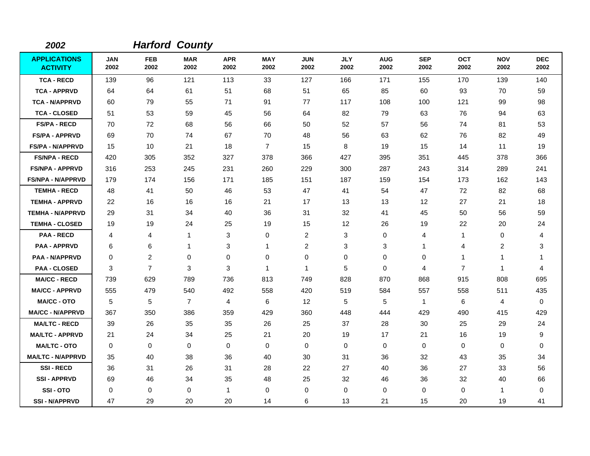| 2002                                   |                    |                    | <b>Harford County</b> |                    |                    |                    |                    |                    |                    |                    |                    |                    |
|----------------------------------------|--------------------|--------------------|-----------------------|--------------------|--------------------|--------------------|--------------------|--------------------|--------------------|--------------------|--------------------|--------------------|
| <b>APPLICATIONS</b><br><b>ACTIVITY</b> | <b>JAN</b><br>2002 | <b>FEB</b><br>2002 | <b>MAR</b><br>2002    | <b>APR</b><br>2002 | <b>MAY</b><br>2002 | <b>JUN</b><br>2002 | <b>JLY</b><br>2002 | <b>AUG</b><br>2002 | <b>SEP</b><br>2002 | <b>OCT</b><br>2002 | <b>NOV</b><br>2002 | <b>DEC</b><br>2002 |
| <b>TCA - RECD</b>                      | 139                | 96                 | 121                   | 113                | 33                 | 127                | 166                | 171                | 155                | 170                | 139                | 140                |
| <b>TCA - APPRVD</b>                    | 64                 | 64                 | 61                    | 51                 | 68                 | 51                 | 65                 | 85                 | 60                 | 93                 | 70                 | 59                 |
| <b>TCA - N/APPRVD</b>                  | 60                 | 79                 | 55                    | 71                 | 91                 | 77                 | 117                | 108                | 100                | 121                | 99                 | 98                 |
| <b>TCA - CLOSED</b>                    | 51                 | 53                 | 59                    | 45                 | 56                 | 64                 | 82                 | 79                 | 63                 | 76                 | 94                 | 63                 |
| <b>FS/PA - RECD</b>                    | 70                 | 72                 | 68                    | 56                 | 66                 | 50                 | 52                 | 57                 | 56                 | 74                 | 81                 | 53                 |
| <b>FS/PA - APPRVD</b>                  | 69                 | 70                 | 74                    | 67                 | 70                 | 48                 | 56                 | 63                 | 62                 | 76                 | 82                 | 49                 |
| <b>FS/PA - N/APPRVD</b>                | 15                 | 10                 | 21                    | 18                 | $\overline{7}$     | 15                 | 8                  | 19                 | 15                 | 14                 | 11                 | 19                 |
| <b>FS/NPA - RECD</b>                   | 420                | 305                | 352                   | 327                | 378                | 366                | 427                | 395                | 351                | 445                | 378                | 366                |
| <b>FS/NPA - APPRVD</b>                 | 316                | 253                | 245                   | 231                | 260                | 229                | 300                | 287                | 243                | 314                | 289                | 241                |
| <b>FS/NPA - N/APPRVD</b>               | 179                | 174                | 156                   | 171                | 185                | 151                | 187                | 159                | 154                | 173                | 162                | 143                |
| <b>TEMHA - RECD</b>                    | 48                 | 41                 | 50                    | 46                 | 53                 | 47                 | 41                 | 54                 | 47                 | 72                 | 82                 | 68                 |
| <b>TEMHA - APPRVD</b>                  | 22                 | 16                 | 16                    | 16                 | 21                 | 17                 | 13                 | 13                 | 12                 | 27                 | 21                 | 18                 |
| <b>TEMHA - N/APPRVD</b>                | 29                 | 31                 | 34                    | 40                 | 36                 | 31                 | 32                 | 41                 | 45                 | 50                 | 56                 | 59                 |
| <b>TEMHA - CLOSED</b>                  | 19                 | 19                 | 24                    | 25                 | 19                 | 15                 | $12 \,$            | 26                 | 19                 | 22                 | 20                 | 24                 |
| <b>PAA - RECD</b>                      | 4                  | 4                  | $\mathbf{1}$          | 3                  | 0                  | $\overline{2}$     | 3                  | 0                  | 4                  | $\mathbf 1$        | 0                  | 4                  |
| <b>PAA - APPRVD</b>                    | 6                  | 6                  | $\mathbf{1}$          | 3                  | $\mathbf{1}$       | $\overline{c}$     | 3                  | 3                  | 1                  | 4                  | $\overline{c}$     | 3                  |
| <b>PAA - N/APPRVD</b>                  | $\Omega$           | $\overline{c}$     | 0                     | 0                  | $\mathbf 0$        | 0                  | 0                  | 0                  | $\mathbf 0$        | 1                  | 1                  | -1                 |
| <b>PAA - CLOSED</b>                    | 3                  | $\overline{7}$     | 3                     | 3                  | $\mathbf{1}$       | 1                  | 5                  | $\mathbf 0$        | $\overline{4}$     | $\overline{7}$     | $\mathbf{1}$       | 4                  |
| <b>MA/CC - RECD</b>                    | 739                | 629                | 789                   | 736                | 813                | 749                | 828                | 870                | 868                | 915                | 808                | 695                |
| <b>MA/CC - APPRVD</b>                  | 555                | 479                | 540                   | 492                | 558                | 420                | 519                | 584                | 557                | 558                | 511                | 435                |
| <b>MA/CC - OTO</b>                     | 5                  | 5                  | $\overline{7}$        | 4                  | 6                  | 12                 | 5                  | 5                  | $\mathbf{1}$       | 6                  | 4                  | 0                  |
| <b>MA/CC - N/APPRVD</b>                | 367                | 350                | 386                   | 359                | 429                | 360                | 448                | 444                | 429                | 490                | 415                | 429                |
| <b>MA/LTC - RECD</b>                   | 39                 | 26                 | 35                    | 35                 | 26                 | 25                 | 37                 | 28                 | 30                 | 25                 | 29                 | 24                 |
| <b>MA/LTC - APPRVD</b>                 | 21                 | 24                 | 34                    | 25                 | 21                 | 20                 | 19                 | 17                 | 21                 | 16                 | 19                 | 9                  |
| <b>MA/LTC - OTO</b>                    | $\mathbf 0$        | 0                  | 0                     | 0                  | 0                  | 0                  | 0                  | 0                  | 0                  | 0                  | 0                  | 0                  |
| <b>MA/LTC - N/APPRVD</b>               | 35                 | 40                 | 38                    | 36                 | 40                 | 30                 | 31                 | 36                 | 32                 | 43                 | 35                 | 34                 |
| <b>SSI-RECD</b>                        | 36                 | 31                 | 26                    | 31                 | 28                 | 22                 | 27                 | 40                 | 36                 | 27                 | 33                 | 56                 |
| <b>SSI - APPRVD</b>                    | 69                 | 46                 | 34                    | 35                 | 48                 | 25                 | 32                 | 46                 | 36                 | 32                 | 40                 | 66                 |
| SSI-OTO                                | $\Omega$           | 0                  | $\mathbf 0$           | $\mathbf 1$        | $\mathbf 0$        | 0                  | $\mathbf 0$        | 0                  | $\mathbf 0$        | 0                  | 1                  | 0                  |
| <b>SSI-N/APPRVD</b>                    | 47                 | 29                 | 20                    | 20                 | 14                 | 6                  | 13                 | 21                 | 15                 | 20                 | 19                 | 41                 |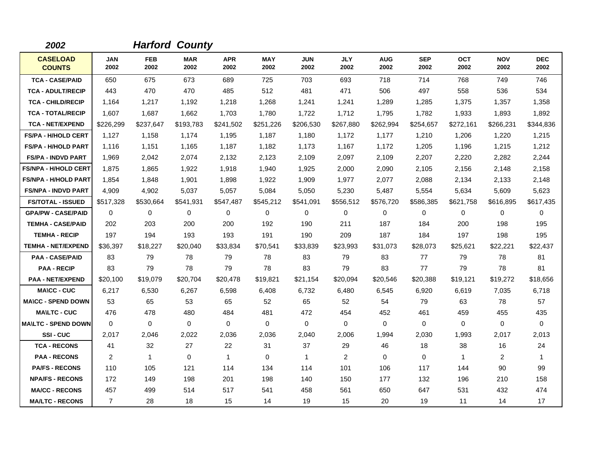| 2002                             |                    |                    | <b>Harford County</b> |                    |                    |                    |                    |                    |                    |                    |                    |                    |
|----------------------------------|--------------------|--------------------|-----------------------|--------------------|--------------------|--------------------|--------------------|--------------------|--------------------|--------------------|--------------------|--------------------|
| <b>CASELOAD</b><br><b>COUNTS</b> | <b>JAN</b><br>2002 | <b>FEB</b><br>2002 | <b>MAR</b><br>2002    | <b>APR</b><br>2002 | <b>MAY</b><br>2002 | <b>JUN</b><br>2002 | <b>JLY</b><br>2002 | <b>AUG</b><br>2002 | <b>SEP</b><br>2002 | <b>OCT</b><br>2002 | <b>NOV</b><br>2002 | <b>DEC</b><br>2002 |
| <b>TCA - CASE/PAID</b>           | 650                | 675                | 673                   | 689                | 725                | 703                | 693                | 718                | 714                | 768                | 749                | 746                |
| <b>TCA - ADULT/RECIP</b>         | 443                | 470                | 470                   | 485                | 512                | 481                | 471                | 506                | 497                | 558                | 536                | 534                |
| <b>TCA - CHILD/RECIP</b>         | 1.164              | 1,217              | 1,192                 | 1,218              | 1,268              | 1,241              | 1,241              | 1,289              | 1,285              | 1,375              | 1,357              | 1,358              |
| <b>TCA - TOTAL/RECIP</b>         | 1,607              | 1,687              | 1,662                 | 1,703              | 1,780              | 1,722              | 1,712              | 1,795              | 1,782              | 1,933              | 1,893              | 1,892              |
| <b>TCA - NET/EXPEND</b>          | \$226,299          | \$237,647          | \$193,783             | \$241,502          | \$251,226          | \$206,530          | \$267,880          | \$262,994          | \$254,657          | \$272,161          | \$266,231          | \$344,836          |
| <b>FS/PA - H/HOLD CERT</b>       | 1,127              | 1,158              | 1,174                 | 1,195              | 1,187              | 1,180              | 1,172              | 1,177              | 1,210              | 1,206              | 1,220              | 1,215              |
| <b>FS/PA - H/HOLD PART</b>       | 1,116              | 1,151              | 1,165                 | 1,187              | 1,182              | 1,173              | 1,167              | 1,172              | 1,205              | 1,196              | 1,215              | 1,212              |
| <b>FS/PA - INDVD PART</b>        | 1,969              | 2,042              | 2,074                 | 2,132              | 2,123              | 2,109              | 2,097              | 2,109              | 2,207              | 2,220              | 2,282              | 2,244              |
| <b>FS/NPA - H/HOLD CERT</b>      | 1,875              | 1,865              | 1,922                 | 1,918              | 1,940              | 1,925              | 2,000              | 2,090              | 2,105              | 2,156              | 2,148              | 2,158              |
| <b>FS/NPA - H/HOLD PART</b>      | 1,854              | 1,848              | 1,901                 | 1,898              | 1,922              | 1,909              | 1,977              | 2,077              | 2,088              | 2,134              | 2,133              | 2,148              |
| <b>FS/NPA - INDVD PART</b>       | 4,909              | 4,902              | 5,037                 | 5,057              | 5,084              | 5,050              | 5,230              | 5,487              | 5,554              | 5,634              | 5,609              | 5,623              |
| <b>FS/TOTAL - ISSUED</b>         | \$517,328          | \$530,664          | \$541.931             | \$547,487          | \$545,212          | \$541,091          | \$556,512          | \$576,720          | \$586,385          | \$621,758          | \$616,895          | \$617,435          |
| <b>GPA/PW - CASE/PAID</b>        | $\Omega$           | 0                  | $\mathbf 0$           | 0                  | 0                  | $\mathbf 0$        | $\mathbf 0$        | 0                  | 0                  | 0                  | $\mathbf 0$        | 0                  |
| <b>TEMHA - CASE/PAID</b>         | 202                | 203                | 200                   | 200                | 192                | 190                | 211                | 187                | 184                | 200                | 198                | 195                |
| <b>TEMHA - RECIP</b>             | 197                | 194                | 193                   | 193                | 191                | 190                | 209                | 187                | 184                | 197                | 198                | 195                |
| <b>TEMHA - NET/EXPEND</b>        | \$36,397           | \$18,227           | \$20,040              | \$33,834           | \$70,541           | \$33,839           | \$23,993           | \$31,073           | \$28,073           | \$25,621           | \$22,221           | \$22,437           |
| <b>PAA - CASE/PAID</b>           | 83                 | 79                 | 78                    | 79                 | 78                 | 83                 | 79                 | 83                 | 77                 | 79                 | 78                 | 81                 |
| <b>PAA - RECIP</b>               | 83                 | 79                 | 78                    | 79                 | 78                 | 83                 | 79                 | 83                 | 77                 | 79                 | 78                 | 81                 |
| <b>PAA - NET/EXPEND</b>          | \$20,100           | \$19,079           | \$20,704              | \$20,478           | \$19,821           | \$21,154           | \$20,094           | \$20,546           | \$20,388           | \$19,121           | \$19,272           | \$18,656           |
| <b>MA\CC - CUC</b>               | 6,217              | 6,530              | 6,267                 | 6,598              | 6,408              | 6,732              | 6,480              | 6,545              | 6,920              | 6,619              | 7,035              | 6,718              |
| <b>MA\CC - SPEND DOWN</b>        | 53                 | 65                 | 53                    | 65                 | 52                 | 65                 | 52                 | 54                 | 79                 | 63                 | 78                 | 57                 |
| <b>MA\LTC - CUC</b>              | 476                | 478                | 480                   | 484                | 481                | 472                | 454                | 452                | 461                | 459                | 455                | 435                |
| <b>MA\LTC - SPEND DOWN</b>       | $\mathbf 0$        | 0                  | $\mathbf 0$           | $\mathbf 0$        | $\mathbf 0$        | $\mathbf 0$        | $\mathbf 0$        | $\mathbf 0$        | 0                  | 0                  | 0                  | 0                  |
| SSI-CUC                          | 2,017              | 2,046              | 2,022                 | 2,036              | 2,036              | 2,040              | 2,006              | 1,994              | 2,030              | 1,993              | 2,017              | 2,013              |
| <b>TCA - RECONS</b>              | 41                 | 32                 | 27                    | 22                 | 31                 | 37                 | 29                 | 46                 | 18                 | 38                 | 16                 | 24                 |
| <b>PAA - RECONS</b>              | 2                  | $\mathbf{1}$       | $\Omega$              | $\mathbf{1}$       | $\mathbf 0$        | $\mathbf{1}$       | 2                  | $\Omega$           | $\Omega$           | 1                  | 2                  | 1                  |
| <b>PA/FS - RECONS</b>            | 110                | 105                | 121                   | 114                | 134                | 114                | 101                | 106                | 117                | 144                | 90                 | 99                 |
| <b>NPA/FS - RECONS</b>           | 172                | 149                | 198                   | 201                | 198                | 140                | 150                | 177                | 132                | 196                | 210                | 158                |
| <b>MA/CC - RECONS</b>            | 457                | 499                | 514                   | 517                | 541                | 458                | 561                | 650                | 647                | 531                | 432                | 474                |
| <b>MA/LTC - RECONS</b>           | $\overline{7}$     | 28                 | 18                    | 15                 | 14                 | 19                 | 15                 | 20                 | 19                 | 11                 | 14                 | 17                 |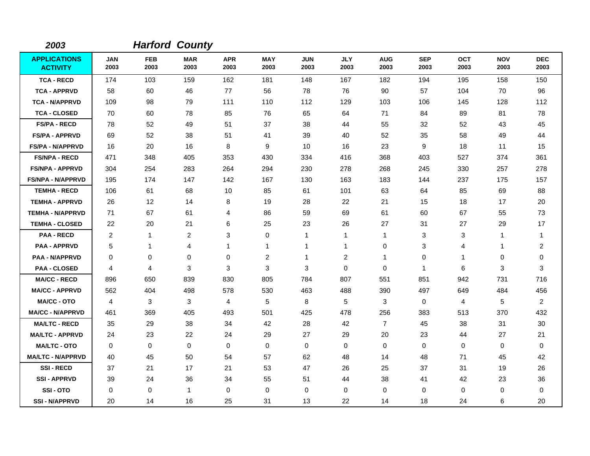| 2003                                   |                    |                    | <b>Harford County</b> |                    |                    |                    |                    |                    |                    |                    |                    |                    |
|----------------------------------------|--------------------|--------------------|-----------------------|--------------------|--------------------|--------------------|--------------------|--------------------|--------------------|--------------------|--------------------|--------------------|
| <b>APPLICATIONS</b><br><b>ACTIVITY</b> | <b>JAN</b><br>2003 | <b>FEB</b><br>2003 | <b>MAR</b><br>2003    | <b>APR</b><br>2003 | <b>MAY</b><br>2003 | <b>JUN</b><br>2003 | <b>JLY</b><br>2003 | <b>AUG</b><br>2003 | <b>SEP</b><br>2003 | <b>OCT</b><br>2003 | <b>NOV</b><br>2003 | <b>DEC</b><br>2003 |
| <b>TCA - RECD</b>                      | 174                | 103                | 159                   | 162                | 181                | 148                | 167                | 182                | 194                | 195                | 158                | 150                |
| <b>TCA - APPRVD</b>                    | 58                 | 60                 | 46                    | 77                 | 56                 | 78                 | 76                 | 90                 | 57                 | 104                | 70                 | 96                 |
| <b>TCA - N/APPRVD</b>                  | 109                | 98                 | 79                    | 111                | 110                | 112                | 129                | 103                | 106                | 145                | 128                | 112                |
| <b>TCA - CLOSED</b>                    | 70                 | 60                 | 78                    | 85                 | 76                 | 65                 | 64                 | 71                 | 84                 | 89                 | 81                 | 78                 |
| <b>FS/PA - RECD</b>                    | 78                 | 52                 | 49                    | 51                 | 37                 | 38                 | 44                 | 55                 | 32                 | 52                 | 43                 | 45                 |
| <b>FS/PA - APPRVD</b>                  | 69                 | 52                 | 38                    | 51                 | 41                 | 39                 | 40                 | 52                 | 35                 | 58                 | 49                 | 44                 |
| <b>FS/PA - N/APPRVD</b>                | 16                 | 20                 | 16                    | 8                  | 9                  | 10                 | 16                 | 23                 | 9                  | 18                 | 11                 | 15                 |
| <b>FS/NPA - RECD</b>                   | 471                | 348                | 405                   | 353                | 430                | 334                | 416                | 368                | 403                | 527                | 374                | 361                |
| <b>FS/NPA - APPRVD</b>                 | 304                | 254                | 283                   | 264                | 294                | 230                | 278                | 268                | 245                | 330                | 257                | 278                |
| <b>FS/NPA - N/APPRVD</b>               | 195                | 174                | 147                   | 142                | 167                | 130                | 163                | 183                | 144                | 237                | 175                | 157                |
| <b>TEMHA - RECD</b>                    | 106                | 61                 | 68                    | 10                 | 85                 | 61                 | 101                | 63                 | 64                 | 85                 | 69                 | 88                 |
| <b>TEMHA - APPRVD</b>                  | 26                 | 12                 | 14                    | 8                  | 19                 | 28                 | 22                 | 21                 | 15                 | 18                 | 17                 | 20                 |
| <b>TEMHA - N/APPRVD</b>                | 71                 | 67                 | 61                    | 4                  | 86                 | 59                 | 69                 | 61                 | 60                 | 67                 | 55                 | 73                 |
| <b>TEMHA - CLOSED</b>                  | 22                 | 20                 | 21                    | 6                  | 25                 | 23                 | 26                 | 27                 | 31                 | 27                 | 29                 | 17                 |
| <b>PAA - RECD</b>                      | 2                  | $\mathbf{1}$       | $\overline{c}$        | 3                  | $\mathbf 0$        | 1                  | $\mathbf{1}$       | $\mathbf{1}$       | 3                  | 3                  | 1                  | $\mathbf 1$        |
| <b>PAA - APPRVD</b>                    | 5                  | 1                  | 4                     | 1                  | $\mathbf{1}$       | 1                  | 1                  | 0                  | 3                  | 4                  | 1                  | $\overline{2}$     |
| <b>PAA - N/APPRVD</b>                  | $\Omega$           | 0                  | 0                     | $\mathbf 0$        | $\overline{c}$     | 1                  | $\overline{c}$     | $\mathbf{1}$       | 0                  | 1                  | 0                  | 0                  |
| <b>PAA - CLOSED</b>                    | 4                  | 4                  | 3                     | 3                  | 3                  | 3                  | $\mathbf 0$        | $\mathbf 0$        | $\mathbf 1$        | 6                  | 3                  | 3                  |
| <b>MA/CC - RECD</b>                    | 896                | 650                | 839                   | 830                | 805                | 784                | 807                | 551                | 851                | 942                | 731                | 716                |
| <b>MA/CC - APPRVD</b>                  | 562                | 404                | 498                   | 578                | 530                | 463                | 488                | 390                | 497                | 649                | 484                | 456                |
| <b>MA/CC - OTO</b>                     | 4                  | 3                  | 3                     | 4                  | 5                  | 8                  | 5                  | 3                  | $\mathbf 0$        | 4                  | 5                  | $\overline{2}$     |
| <b>MA/CC - N/APPRVD</b>                | 461                | 369                | 405                   | 493                | 501                | 425                | 478                | 256                | 383                | 513                | 370                | 432                |
| <b>MA/LTC - RECD</b>                   | 35                 | 29                 | 38                    | 34                 | 42                 | 28                 | 42                 | $\overline{7}$     | 45                 | 38                 | 31                 | 30                 |
| <b>MA/LTC - APPRVD</b>                 | 24                 | 23                 | 22                    | 24                 | 29                 | 27                 | 29                 | 20                 | 23                 | 44                 | 27                 | 21                 |
| <b>MA/LTC - OTO</b>                    | $\mathbf 0$        | 0                  | $\mathbf 0$           | 0                  | 0                  | $\pmb{0}$          | 0                  | 0                  | $\mathbf 0$        | 0                  | 0                  | 0                  |
| <b>MA/LTC - N/APPRVD</b>               | 40                 | 45                 | 50                    | 54                 | 57                 | 62                 | 48                 | 14                 | 48                 | 71                 | 45                 | 42                 |
| <b>SSI-RECD</b>                        | 37                 | 21                 | 17                    | 21                 | 53                 | 47                 | 26                 | 25                 | 37                 | 31                 | 19                 | 26                 |
| <b>SSI - APPRVD</b>                    | 39                 | 24                 | 36                    | 34                 | 55                 | 51                 | 44                 | 38                 | 41                 | 42                 | 23                 | 36                 |
| SSI-OTO                                | $\Omega$           | 0                  | $\mathbf{1}$          | 0                  | $\mathbf 0$        | 0                  | $\mathbf 0$        | 0                  | $\mathbf 0$        | 0                  | 0                  | 0                  |
| <b>SSI-N/APPRVD</b>                    | 20                 | 14                 | 16                    | 25                 | 31                 | 13                 | 22                 | 14                 | 18                 | 24                 | 6                  | 20                 |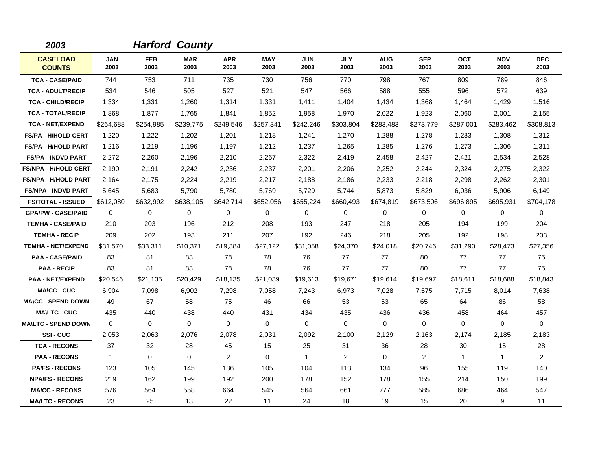| 2003                             |                    |                    | <b>Harford County</b> |                    |                    |                    |                    |                    |                    |                    |                    |                    |
|----------------------------------|--------------------|--------------------|-----------------------|--------------------|--------------------|--------------------|--------------------|--------------------|--------------------|--------------------|--------------------|--------------------|
| <b>CASELOAD</b><br><b>COUNTS</b> | <b>JAN</b><br>2003 | <b>FEB</b><br>2003 | <b>MAR</b><br>2003    | <b>APR</b><br>2003 | <b>MAY</b><br>2003 | <b>JUN</b><br>2003 | <b>JLY</b><br>2003 | <b>AUG</b><br>2003 | <b>SEP</b><br>2003 | <b>OCT</b><br>2003 | <b>NOV</b><br>2003 | <b>DEC</b><br>2003 |
| <b>TCA - CASE/PAID</b>           | 744                | 753                | 711                   | 735                | 730                | 756                | 770                | 798                | 767                | 809                | 789                | 846                |
| <b>TCA - ADULT/RECIP</b>         | 534                | 546                | 505                   | 527                | 521                | 547                | 566                | 588                | 555                | 596                | 572                | 639                |
| <b>TCA - CHILD/RECIP</b>         | 1,334              | 1,331              | 1,260                 | 1,314              | 1,331              | 1,411              | 1,404              | 1,434              | 1,368              | 1,464              | 1,429              | 1,516              |
| <b>TCA - TOTAL/RECIP</b>         | 1,868              | 1,877              | 1,765                 | 1,841              | 1,852              | 1,958              | 1,970              | 2,022              | 1,923              | 2,060              | 2,001              | 2,155              |
| <b>TCA - NET/EXPEND</b>          | \$264,688          | \$254,985          | \$239,775             | \$249,546          | \$257,341          | \$242,246          | \$303,804          | \$283,483          | \$273,779          | \$287,001          | \$283,462          | \$308,813          |
| <b>FS/PA - H/HOLD CERT</b>       | 1,220              | 1,222              | 1,202                 | 1,201              | 1,218              | 1,241              | 1,270              | 1,288              | 1,278              | 1,283              | 1,308              | 1,312              |
| <b>FS/PA - H/HOLD PART</b>       | 1,216              | 1,219              | 1,196                 | 1,197              | 1,212              | 1,237              | 1,265              | 1,285              | 1,276              | 1,273              | 1,306              | 1,311              |
| <b>FS/PA - INDVD PART</b>        | 2,272              | 2,260              | 2,196                 | 2,210              | 2,267              | 2,322              | 2,419              | 2,458              | 2,427              | 2,421              | 2,534              | 2,528              |
| <b>FS/NPA - H/HOLD CERT</b>      | 2,190              | 2.191              | 2.242                 | 2,236              | 2,237              | 2,201              | 2,206              | 2,252              | 2,244              | 2,324              | 2,275              | 2,322              |
| <b>FS/NPA - H/HOLD PART</b>      | 2,164              | 2,175              | 2,224                 | 2,219              | 2,217              | 2,188              | 2,186              | 2,233              | 2,218              | 2,298              | 2,262              | 2,301              |
| <b>FS/NPA - INDVD PART</b>       | 5,645              | 5,683              | 5,790                 | 5,780              | 5,769              | 5,729              | 5,744              | 5,873              | 5,829              | 6,036              | 5,906              | 6,149              |
| <b>FS/TOTAL - ISSUED</b>         | \$612,080          | \$632,992          | \$638,105             | \$642,714          | \$652,056          | \$655,224          | \$660,493          | \$674,819          | \$673,506          | \$696,895          | \$695,931          | \$704,178          |
| <b>GPA/PW - CASE/PAID</b>        | $\Omega$           | 0                  | $\Omega$              | 0                  | 0                  | $\Omega$           | $\mathbf 0$        | 0                  | $\Omega$           | $\Omega$           | $\mathbf 0$        | 0                  |
| <b>TEMHA - CASE/PAID</b>         | 210                | 203                | 196                   | 212                | 208                | 193                | 247                | 218                | 205                | 194                | 199                | 204                |
| <b>TEMHA - RECIP</b>             | 209                | 202                | 193                   | 211                | 207                | 192                | 246                | 218                | 205                | 192                | 198                | 203                |
| <b>TEMHA - NET/EXPEND</b>        | \$31,570           | \$33,311           | \$10,371              | \$19,384           | \$27,122           | \$31,058           | \$24,370           | \$24,018           | \$20,746           | \$31,290           | \$28,473           | \$27,356           |
| <b>PAA - CASE/PAID</b>           | 83                 | 81                 | 83                    | 78                 | 78                 | 76                 | 77                 | 77                 | 80                 | 77                 | 77                 | 75                 |
| <b>PAA - RECIP</b>               | 83                 | 81                 | 83                    | 78                 | 78                 | 76                 | 77                 | 77                 | 80                 | 77                 | 77                 | 75                 |
| <b>PAA - NET/EXPEND</b>          | \$20,546           | \$21,135           | \$20,429              | \$18,135           | \$21,039           | \$19,613           | \$19,671           | \$19,614           | \$19,697           | \$18,611           | \$18,688           | \$18,843           |
| <b>MA\CC - CUC</b>               | 6.904              | 7,098              | 6,902                 | 7,298              | 7,058              | 7,243              | 6,973              | 7,028              | 7,575              | 7,715              | 8,014              | 7,638              |
| <b>MA\CC - SPEND DOWN</b>        | 49                 | 67                 | 58                    | 75                 | 46                 | 66                 | 53                 | 53                 | 65                 | 64                 | 86                 | 58                 |
| <b>MA\LTC - CUC</b>              | 435                | 440                | 438                   | 440                | 431                | 434                | 435                | 436                | 436                | 458                | 464                | 457                |
| <b>MA\LTC - SPEND DOWN</b>       | $\Omega$           | 0                  | $\mathbf 0$           | 0                  | $\mathbf 0$        | $\mathbf 0$        | $\mathbf 0$        | 0                  | 0                  | 0                  | 0                  | 0                  |
| SSI-CUC                          | 2,053              | 2,063              | 2,076                 | 2,078              | 2,031              | 2,092              | 2,100              | 2,129              | 2,163              | 2,174              | 2,185              | 2,183              |
| <b>TCA - RECONS</b>              | 37                 | 32                 | 28                    | 45                 | 15                 | 25                 | 31                 | 36                 | 28                 | 30                 | 15                 | 28                 |
| <b>PAA - RECONS</b>              | $\mathbf{1}$       | $\Omega$           | $\Omega$              | $\overline{2}$     | 0                  | 1                  | $\overline{2}$     | $\Omega$           | 2                  | $\mathbf{1}$       | $\mathbf{1}$       | $\overline{2}$     |
| <b>PA/FS - RECONS</b>            | 123                | 105                | 145                   | 136                | 105                | 104                | 113                | 134                | 96                 | 155                | 119                | 140                |
| <b>NPA/FS - RECONS</b>           | 219                | 162                | 199                   | 192                | 200                | 178                | 152                | 178                | 155                | 214                | 150                | 199                |
| <b>MA/CC - RECONS</b>            | 576                | 564                | 558                   | 664                | 545                | 564                | 661                | 777                | 585                | 686                | 464                | 547                |
| <b>MA/LTC - RECONS</b>           | 23                 | 25                 | 13                    | 22                 | 11                 | 24                 | 18                 | 19                 | 15                 | 20                 | 9                  | 11                 |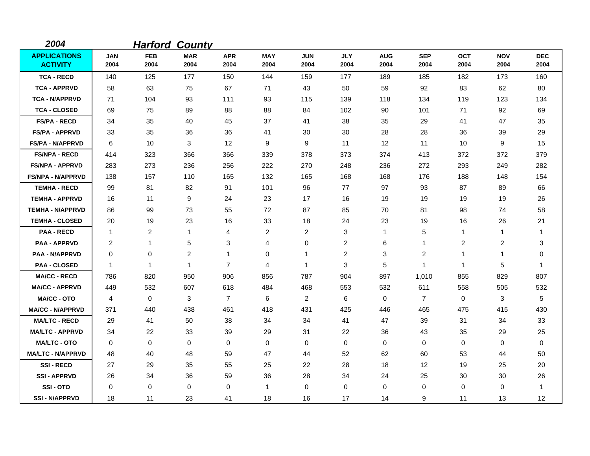| 2004                                   |                    | <b>Harford</b>     | <b>County</b>      |                    |                    |                    |                    |                    |                    |                    |                    |                    |
|----------------------------------------|--------------------|--------------------|--------------------|--------------------|--------------------|--------------------|--------------------|--------------------|--------------------|--------------------|--------------------|--------------------|
| <b>APPLICATIONS</b><br><b>ACTIVITY</b> | <b>JAN</b><br>2004 | <b>FEB</b><br>2004 | <b>MAR</b><br>2004 | <b>APR</b><br>2004 | <b>MAY</b><br>2004 | <b>JUN</b><br>2004 | <b>JLY</b><br>2004 | <b>AUG</b><br>2004 | <b>SEP</b><br>2004 | <b>OCT</b><br>2004 | <b>NOV</b><br>2004 | <b>DEC</b><br>2004 |
| <b>TCA - RECD</b>                      | 140                | 125                | 177                | 150                | 144                | 159                | 177                | 189                | 185                | 182                | 173                | 160                |
| <b>TCA - APPRVD</b>                    | 58                 | 63                 | 75                 | 67                 | 71                 | 43                 | 50                 | 59                 | 92                 | 83                 | 62                 | 80                 |
| <b>TCA - N/APPRVD</b>                  | 71                 | 104                | 93                 | 111                | 93                 | 115                | 139                | 118                | 134                | 119                | 123                | 134                |
| <b>TCA - CLOSED</b>                    | 69                 | 75                 | 89                 | 88                 | 88                 | 84                 | 102                | 90                 | 101                | 71                 | 92                 | 69                 |
| <b>FS/PA - RECD</b>                    | 34                 | 35                 | 40                 | 45                 | 37                 | 41                 | 38                 | 35                 | 29                 | 41                 | 47                 | 35                 |
| <b>FS/PA - APPRVD</b>                  | 33                 | 35                 | 36                 | 36                 | 41                 | 30                 | 30                 | 28                 | 28                 | 36                 | 39                 | 29                 |
| <b>FS/PA - N/APPRVD</b>                | 6                  | 10                 | 3                  | 12                 | 9                  | 9                  | 11                 | 12                 | 11                 | 10                 | 9                  | 15                 |
| <b>FS/NPA - RECD</b>                   | 414                | 323                | 366                | 366                | 339                | 378                | 373                | 374                | 413                | 372                | 372                | 379                |
| <b>FS/NPA - APPRVD</b>                 | 283                | 273                | 236                | 256                | 222                | 270                | 248                | 236                | 272                | 293                | 249                | 282                |
| <b>FS/NPA - N/APPRVD</b>               | 138                | 157                | 110                | 165                | 132                | 165                | 168                | 168                | 176                | 188                | 148                | 154                |
| <b>TEMHA - RECD</b>                    | 99                 | 81                 | 82                 | 91                 | 101                | 96                 | 77                 | 97                 | 93                 | 87                 | 89                 | 66                 |
| <b>TEMHA - APPRVD</b>                  | 16                 | 11                 | 9                  | 24                 | 23                 | 17                 | 16                 | 19                 | 19                 | 19                 | 19                 | 26                 |
| <b>TEMHA - N/APPRVD</b>                | 86                 | 99                 | 73                 | 55                 | 72                 | 87                 | 85                 | 70                 | 81                 | 98                 | 74                 | 58                 |
| <b>TEMHA - CLOSED</b>                  | 20                 | 19                 | 23                 | 16                 | 33                 | 18                 | 24                 | 23                 | 19                 | 16                 | 26                 | 21                 |
| <b>PAA - RECD</b>                      | -1                 | 2                  | 1                  | 4                  | $\overline{2}$     | 2                  | 3                  | 1                  | 5                  | 1                  | 1                  | -1                 |
| <b>PAA - APPRVD</b>                    | 2                  | 1                  | 5                  | 3                  | 4                  | 0                  | $\overline{c}$     | 6                  | 1                  | 2                  | 2                  | 3                  |
| <b>PAA - N/APPRVD</b>                  | $\mathbf 0$        | 0                  | $\overline{c}$     | 1                  | 0                  | 1                  | $\overline{c}$     | 3                  | $\overline{c}$     | 1                  | 1                  | 0                  |
| <b>PAA - CLOSED</b>                    | $\mathbf{1}$       | $\mathbf 1$        | $\mathbf{1}$       | $\overline{7}$     | 4                  | $\mathbf{1}$       | 3                  | 5                  | 1                  | $\mathbf{1}$       | 5                  | $\mathbf 1$        |
| <b>MA/CC - RECD</b>                    | 786                | 820                | 950                | 906                | 856                | 787                | 904                | 897                | 1,010              | 855                | 829                | 807                |
| <b>MA/CC - APPRVD</b>                  | 449                | 532                | 607                | 618                | 484                | 468                | 553                | 532                | 611                | 558                | 505                | 532                |
| <b>MA/CC - OTO</b>                     | 4                  | 0                  | 3                  | $\overline{7}$     | 6                  | $\overline{c}$     | 6                  | 0                  | $\overline{7}$     | $\mathbf 0$        | 3                  | 5                  |
| <b>MA/CC - N/APPRVD</b>                | 371                | 440                | 438                | 461                | 418                | 431                | 425                | 446                | 465                | 475                | 415                | 430                |
| <b>MA/LTC - RECD</b>                   | 29                 | 41                 | 50                 | 38                 | 34                 | 34                 | 41                 | 47                 | 39                 | 31                 | 34                 | 33                 |
| <b>MA/LTC - APPRVD</b>                 | 34                 | 22                 | 33                 | 39                 | 29                 | 31                 | 22                 | 36                 | 43                 | 35                 | 29                 | 25                 |
| <b>MA/LTC - OTO</b>                    | $\mathbf 0$        | 0                  | 0                  | 0                  | 0                  | 0                  | 0                  | 0                  | $\mathbf 0$        | 0                  | 0                  | 0                  |
| <b>MA/LTC - N/APPRVD</b>               | 48                 | 40                 | 48                 | 59                 | 47                 | 44                 | 52                 | 62                 | 60                 | 53                 | 44                 | 50                 |
| <b>SSI-RECD</b>                        | 27                 | 29                 | 35                 | 55                 | 25                 | 22                 | 28                 | 18                 | 12                 | 19                 | 25                 | 20                 |
| <b>SSI-APPRVD</b>                      | 26                 | 34                 | 36                 | 59                 | 36                 | 28                 | 34                 | 24                 | 25                 | 30                 | 30                 | 26                 |
| SSI-OTO                                | 0                  | 0                  | $\mathbf 0$        | 0                  | $\mathbf{1}$       | 0                  | 0                  | 0                  | 0                  | 0                  | 0                  | -1                 |
| <b>SSI-N/APPRVD</b>                    | 18                 | 11                 | 23                 | 41                 | 18                 | 16                 | 17                 | 14                 | 9                  | 11                 | 13                 | 12                 |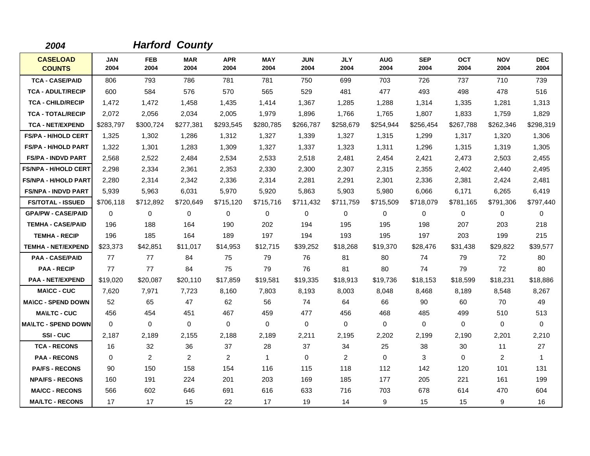| 2004                             |                    |                    | <b>Harford County</b> |                    |                    |                    |                    |                    |                    |                    |                    |                    |
|----------------------------------|--------------------|--------------------|-----------------------|--------------------|--------------------|--------------------|--------------------|--------------------|--------------------|--------------------|--------------------|--------------------|
| <b>CASELOAD</b><br><b>COUNTS</b> | <b>JAN</b><br>2004 | <b>FEB</b><br>2004 | <b>MAR</b><br>2004    | <b>APR</b><br>2004 | <b>MAY</b><br>2004 | <b>JUN</b><br>2004 | <b>JLY</b><br>2004 | <b>AUG</b><br>2004 | <b>SEP</b><br>2004 | <b>OCT</b><br>2004 | <b>NOV</b><br>2004 | <b>DEC</b><br>2004 |
| <b>TCA - CASE/PAID</b>           | 806                | 793                | 786                   | 781                | 781                | 750                | 699                | 703                | 726                | 737                | 710                | 739                |
| <b>TCA - ADULT/RECIP</b>         | 600                | 584                | 576                   | 570                | 565                | 529                | 481                | 477                | 493                | 498                | 478                | 516                |
| <b>TCA - CHILD/RECIP</b>         | 1,472              | 1,472              | 1,458                 | 1,435              | 1,414              | 1,367              | 1,285              | 1,288              | 1,314              | 1,335              | 1,281              | 1,313              |
| <b>TCA - TOTAL/RECIP</b>         | 2,072              | 2,056              | 2,034                 | 2,005              | 1,979              | 1,896              | 1,766              | 1,765              | 1,807              | 1,833              | 1,759              | 1,829              |
| <b>TCA - NET/EXPEND</b>          | \$283,797          | \$300,724          | \$277,381             | \$293,545          | \$280.785          | \$266,787          | \$258,679          | \$254,944          | \$256,454          | \$267,788          | \$262,346          | \$298,319          |
| <b>FS/PA - H/HOLD CERT</b>       | 1,325              | 1,302              | 1,286                 | 1,312              | 1,327              | 1,339              | 1,327              | 1,315              | 1,299              | 1,317              | 1,320              | 1,306              |
| <b>FS/PA - H/HOLD PART</b>       | 1,322              | 1,301              | 1,283                 | 1,309              | 1,327              | 1,337              | 1,323              | 1,311              | 1,296              | 1,315              | 1,319              | 1,305              |
| <b>FS/PA - INDVD PART</b>        | 2,568              | 2,522              | 2,484                 | 2,534              | 2,533              | 2,518              | 2,481              | 2,454              | 2,421              | 2,473              | 2,503              | 2,455              |
| <b>FS/NPA - H/HOLD CERT</b>      | 2,298              | 2,334              | 2,361                 | 2,353              | 2,330              | 2,300              | 2,307              | 2,315              | 2,355              | 2,402              | 2,440              | 2,495              |
| <b>FS/NPA - H/HOLD PART</b>      | 2,280              | 2,314              | 2,342                 | 2,336              | 2,314              | 2,281              | 2,291              | 2,301              | 2,336              | 2,381              | 2,424              | 2,481              |
| <b>FS/NPA - INDVD PART</b>       | 5,939              | 5,963              | 6,031                 | 5,970              | 5,920              | 5,863              | 5,903              | 5,980              | 6,066              | 6,171              | 6,265              | 6,419              |
| <b>FS/TOTAL - ISSUED</b>         | \$706,118          | \$712,892          | \$720,649             | \$715,120          | \$715,716          | \$711,432          | \$711,759          | \$715,509          | \$718,079          | \$781,165          | \$791,306          | \$797,440          |
| <b>GPA/PW - CASE/PAID</b>        | $\Omega$           | 0                  | 0                     | $\mathbf 0$        | 0                  | $\Omega$           | $\mathbf 0$        | 0                  | $\mathbf 0$        | 0                  | $\mathbf 0$        | 0                  |
| <b>TEMHA - CASE/PAID</b>         | 196                | 188                | 164                   | 190                | 202                | 194                | 195                | 195                | 198                | 207                | 203                | 218                |
| <b>TEMHA - RECIP</b>             | 196                | 185                | 164                   | 189                | 197                | 194                | 193                | 195                | 197                | 203                | 199                | 215                |
| <b>TEMHA - NET/EXPEND</b>        | \$23,373           | \$42,851           | \$11,017              | \$14,953           | \$12,715           | \$39,252           | \$18,268           | \$19,370           | \$28,476           | \$31,438           | \$29,822           | \$39,577           |
| <b>PAA - CASE/PAID</b>           | 77                 | 77                 | 84                    | 75                 | 79                 | 76                 | 81                 | 80                 | 74                 | 79                 | 72                 | 80                 |
| <b>PAA - RECIP</b>               | 77                 | 77                 | 84                    | 75                 | 79                 | 76                 | 81                 | 80                 | 74                 | 79                 | 72                 | 80                 |
| <b>PAA - NET/EXPEND</b>          | \$19,020           | \$20,087           | \$20,110              | \$17,859           | \$19,581           | \$19,335           | \$18,913           | \$19,736           | \$18,153           | \$18,599           | \$18,231           | \$18,886           |
| <b>MA\CC - CUC</b>               | 7,620              | 7,971              | 7,723                 | 8,160              | 7,803              | 8,193              | 8,003              | 8,048              | 8,468              | 8,189              | 8,548              | 8,267              |
| <b>MA\CC - SPEND DOWN</b>        | 52                 | 65                 | 47                    | 62                 | 56                 | 74                 | 64                 | 66                 | 90                 | 60                 | 70                 | 49                 |
| <b>MA\LTC - CUC</b>              | 456                | 454                | 451                   | 467                | 459                | 477                | 456                | 468                | 485                | 499                | 510                | 513                |
| <b>MAILTC - SPEND DOWN</b>       | $\Omega$           | 0                  | $\mathbf 0$           | $\Omega$           | 0                  | 0                  | 0                  | 0                  | 0                  | 0                  | $\mathbf 0$        | 0                  |
| SSI-CUC                          | 2,187              | 2,189              | 2,155                 | 2,188              | 2,189              | 2,211              | 2,195              | 2,202              | 2,199              | 2,190              | 2,201              | 2,210              |
| <b>TCA - RECONS</b>              | 16                 | 32                 | 36                    | 37                 | 28                 | 37                 | 34                 | 25                 | 38                 | 30                 | 11                 | 27                 |
| <b>PAA - RECONS</b>              | $\Omega$           | $\overline{2}$     | 2                     | $\overline{2}$     | $\overline{1}$     | $\Omega$           | 2                  | 0                  | 3                  | $\Omega$           | 2                  | $\mathbf{1}$       |
| <b>PA/FS - RECONS</b>            | 90                 | 150                | 158                   | 154                | 116                | 115                | 118                | 112                | 142                | 120                | 101                | 131                |
| <b>NPA/FS - RECONS</b>           | 160                | 191                | 224                   | 201                | 203                | 169                | 185                | 177                | 205                | 221                | 161                | 199                |
| <b>MA/CC - RECONS</b>            | 566                | 602                | 646                   | 691                | 616                | 633                | 716                | 703                | 678                | 614                | 470                | 604                |
| <b>MA/LTC - RECONS</b>           | 17                 | 17                 | 15                    | 22                 | 17                 | 19                 | 14                 | 9                  | 15                 | 15                 | 9                  | 16                 |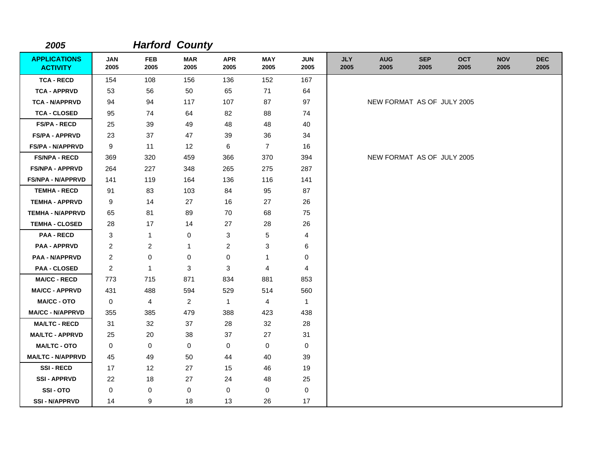| 2005                                   |                    |                    | <b>Harford County</b> |                    |                    |                    |                    |                            |                    |                    |                    |                    |
|----------------------------------------|--------------------|--------------------|-----------------------|--------------------|--------------------|--------------------|--------------------|----------------------------|--------------------|--------------------|--------------------|--------------------|
| <b>APPLICATIONS</b><br><b>ACTIVITY</b> | <b>JAN</b><br>2005 | <b>FEB</b><br>2005 | <b>MAR</b><br>2005    | <b>APR</b><br>2005 | <b>MAY</b><br>2005 | <b>JUN</b><br>2005 | <b>JLY</b><br>2005 | <b>AUG</b><br>2005         | <b>SEP</b><br>2005 | <b>OCT</b><br>2005 | <b>NOV</b><br>2005 | <b>DEC</b><br>2005 |
| <b>TCA - RECD</b>                      | 154                | 108                | 156                   | 136                | 152                | 167                |                    |                            |                    |                    |                    |                    |
| <b>TCA - APPRVD</b>                    | 53                 | 56                 | 50                    | 65                 | 71                 | 64                 |                    |                            |                    |                    |                    |                    |
| <b>TCA - N/APPRVD</b>                  | 94                 | 94                 | 117                   | 107                | 87                 | 97                 |                    | NEW FORMAT AS OF JULY 2005 |                    |                    |                    |                    |
| <b>TCA - CLOSED</b>                    | 95                 | 74                 | 64                    | 82                 | 88                 | 74                 |                    |                            |                    |                    |                    |                    |
| <b>FS/PA - RECD</b>                    | 25                 | 39                 | 49                    | 48                 | 48                 | 40                 |                    |                            |                    |                    |                    |                    |
| <b>FS/PA - APPRVD</b>                  | 23                 | 37                 | 47                    | 39                 | 36                 | 34                 |                    |                            |                    |                    |                    |                    |
| <b>FS/PA - N/APPRVD</b>                | 9                  | 11                 | 12                    | 6                  | $\overline{7}$     | 16                 |                    |                            |                    |                    |                    |                    |
| <b>FS/NPA - RECD</b>                   | 369                | 320                | 459                   | 366                | 370                | 394                |                    | NEW FORMAT AS OF JULY 2005 |                    |                    |                    |                    |
| <b>FS/NPA - APPRVD</b>                 | 264                | 227                | 348                   | 265                | 275                | 287                |                    |                            |                    |                    |                    |                    |
| <b>FS/NPA - N/APPRVD</b>               | 141                | 119                | 164                   | 136                | 116                | 141                |                    |                            |                    |                    |                    |                    |
| <b>TEMHA - RECD</b>                    | 91                 | 83                 | 103                   | 84                 | 95                 | 87                 |                    |                            |                    |                    |                    |                    |
| <b>TEMHA - APPRVD</b>                  | 9                  | 14                 | 27                    | 16                 | 27                 | 26                 |                    |                            |                    |                    |                    |                    |
| <b>TEMHA - N/APPRVD</b>                | 65                 | 81                 | 89                    | 70                 | 68                 | 75                 |                    |                            |                    |                    |                    |                    |
| <b>TEMHA - CLOSED</b>                  | 28                 | 17                 | 14                    | 27                 | 28                 | 26                 |                    |                            |                    |                    |                    |                    |
| <b>PAA - RECD</b>                      | 3                  | $\mathbf{1}$       | 0                     | 3                  | 5                  | 4                  |                    |                            |                    |                    |                    |                    |
| <b>PAA - APPRVD</b>                    | $\overline{c}$     | $\overline{c}$     | $\mathbf{1}$          | $\overline{c}$     | 3                  | 6                  |                    |                            |                    |                    |                    |                    |
| <b>PAA - N/APPRVD</b>                  | $\overline{c}$     | 0                  | 0                     | $\pmb{0}$          | 1                  | 0                  |                    |                            |                    |                    |                    |                    |
| <b>PAA - CLOSED</b>                    | $\overline{2}$     | $\mathbf{1}$       | $\mathbf 3$           | 3                  | 4                  | 4                  |                    |                            |                    |                    |                    |                    |
| <b>MA/CC - RECD</b>                    | 773                | 715                | 871                   | 834                | 881                | 853                |                    |                            |                    |                    |                    |                    |
| <b>MA/CC - APPRVD</b>                  | 431                | 488                | 594                   | 529                | 514                | 560                |                    |                            |                    |                    |                    |                    |
| <b>MA/CC - OTO</b>                     | 0                  | $\overline{4}$     | $\overline{2}$        | $\mathbf{1}$       | 4                  | $\mathbf{1}$       |                    |                            |                    |                    |                    |                    |
| <b>MA/CC - N/APPRVD</b>                | 355                | 385                | 479                   | 388                | 423                | 438                |                    |                            |                    |                    |                    |                    |
| <b>MA/LTC - RECD</b>                   | 31                 | 32                 | 37                    | 28                 | 32                 | 28                 |                    |                            |                    |                    |                    |                    |
| <b>MA/LTC - APPRVD</b>                 | 25                 | 20                 | 38                    | 37                 | 27                 | 31                 |                    |                            |                    |                    |                    |                    |
| <b>MA/LTC - OTO</b>                    | 0                  | 0                  | $\mathbf 0$           | 0                  | 0                  | $\mathbf 0$        |                    |                            |                    |                    |                    |                    |
| <b>MA/LTC - N/APPRVD</b>               | 45                 | 49                 | 50                    | 44                 | 40                 | 39                 |                    |                            |                    |                    |                    |                    |
| <b>SSI-RECD</b>                        | 17                 | 12                 | 27                    | 15                 | 46                 | 19                 |                    |                            |                    |                    |                    |                    |
| <b>SSI - APPRVD</b>                    | 22                 | 18                 | 27                    | 24                 | 48                 | 25                 |                    |                            |                    |                    |                    |                    |
| SSI-OTO                                | 0                  | 0                  | 0                     | 0                  | 0                  | $\mathbf 0$        |                    |                            |                    |                    |                    |                    |
| <b>SSI - N/APPRVD</b>                  | 14                 | 9                  | 18                    | 13                 | 26                 | 17                 |                    |                            |                    |                    |                    |                    |